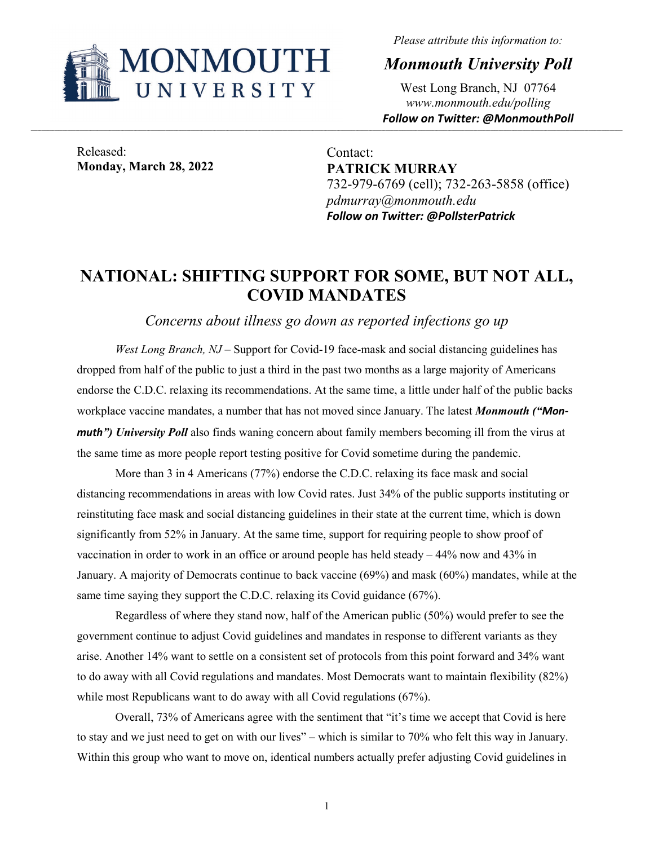

*Please attribute this information to:*

*Monmouth University Poll*

West Long Branch, NJ 07764 *www.monmouth.edu/polling Follow on Twitter: @MonmouthPoll*

Released: **Monday, March 28, 2022**

Contact: **PATRICK MURRAY** 732-979-6769 (cell); 732-263-5858 (office) *pdmurray@monmouth.edu Follow on Twitter: @PollsterPatrick*

# **NATIONAL: SHIFTING SUPPORT FOR SOME, BUT NOT ALL, COVID MANDATES**

*Concerns about illness go down as reported infections go up*

*West Long Branch, NJ* – Support for Covid-19 face-mask and social distancing guidelines has dropped from half of the public to just a third in the past two months as a large majority of Americans endorse the C.D.C. relaxing its recommendations. At the same time, a little under half of the public backs workplace vaccine mandates, a number that has not moved since January. The latest *Monmouth ("Monmuth") University Poll* also finds waning concern about family members becoming ill from the virus at the same time as more people report testing positive for Covid sometime during the pandemic.

More than 3 in 4 Americans (77%) endorse the C.D.C. relaxing its face mask and social distancing recommendations in areas with low Covid rates. Just 34% of the public supports instituting or reinstituting face mask and social distancing guidelines in their state at the current time, which is down significantly from 52% in January. At the same time, support for requiring people to show proof of vaccination in order to work in an office or around people has held steady – 44% now and 43% in January. A majority of Democrats continue to back vaccine (69%) and mask (60%) mandates, while at the same time saying they support the C.D.C. relaxing its Covid guidance (67%).

Regardless of where they stand now, half of the American public (50%) would prefer to see the government continue to adjust Covid guidelines and mandates in response to different variants as they arise. Another 14% want to settle on a consistent set of protocols from this point forward and 34% want to do away with all Covid regulations and mandates. Most Democrats want to maintain flexibility (82%) while most Republicans want to do away with all Covid regulations (67%).

Overall, 73% of Americans agree with the sentiment that "it's time we accept that Covid is here to stay and we just need to get on with our lives" – which is similar to 70% who felt this way in January. Within this group who want to move on, identical numbers actually prefer adjusting Covid guidelines in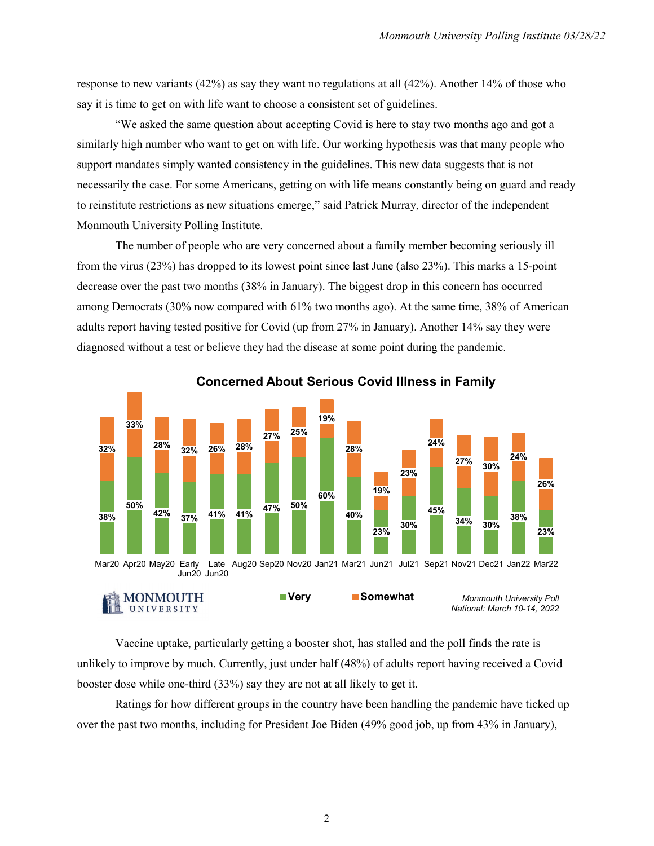response to new variants (42%) as say they want no regulations at all (42%). Another 14% of those who say it is time to get on with life want to choose a consistent set of guidelines.

"We asked the same question about accepting Covid is here to stay two months ago and got a similarly high number who want to get on with life. Our working hypothesis was that many people who support mandates simply wanted consistency in the guidelines. This new data suggests that is not necessarily the case. For some Americans, getting on with life means constantly being on guard and ready to reinstitute restrictions as new situations emerge," said Patrick Murray, director of the independent Monmouth University Polling Institute.

The number of people who are very concerned about a family member becoming seriously ill from the virus (23%) has dropped to its lowest point since last June (also 23%). This marks a 15-point decrease over the past two months (38% in January). The biggest drop in this concern has occurred among Democrats (30% now compared with 61% two months ago). At the same time, 38% of American adults report having tested positive for Covid (up from 27% in January). Another 14% say they were diagnosed without a test or believe they had the disease at some point during the pandemic.



**Concerned About Serious Covid Illness in Family**

Vaccine uptake, particularly getting a booster shot, has stalled and the poll finds the rate is unlikely to improve by much. Currently, just under half (48%) of adults report having received a Covid booster dose while one-third (33%) say they are not at all likely to get it.

Ratings for how different groups in the country have been handling the pandemic have ticked up over the past two months, including for President Joe Biden (49% good job, up from 43% in January),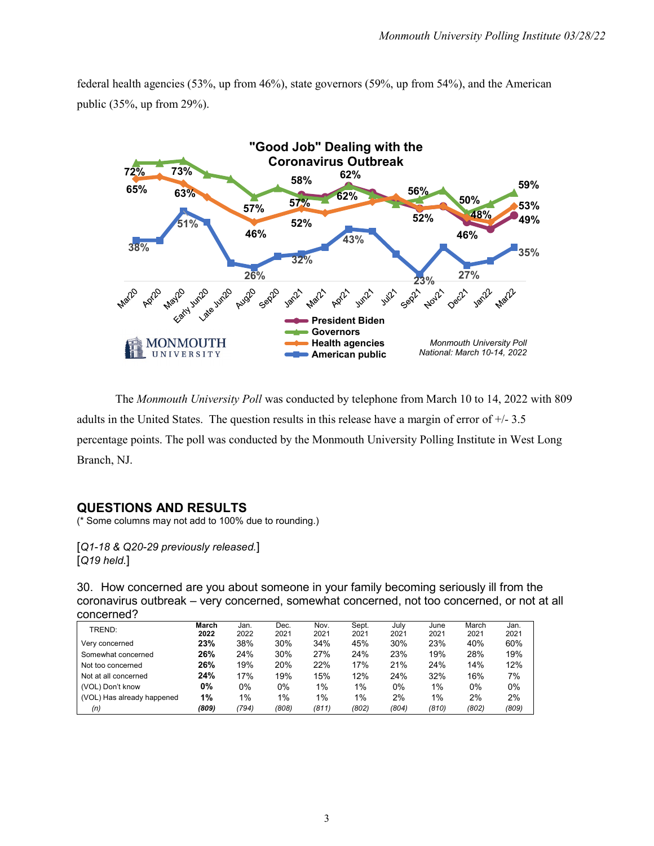federal health agencies (53%, up from 46%), state governors (59%, up from 54%), and the American public (35%, up from 29%).



The *Monmouth University Poll* was conducted by telephone from March 10 to 14, 2022 with 809 adults in the United States. The question results in this release have a margin of error of +/- 3.5 percentage points. The poll was conducted by the Monmouth University Polling Institute in West Long Branch, NJ.

# **QUESTIONS AND RESULTS**

(\* Some columns may not add to 100% due to rounding.)

[*Q1-18 & Q20-29 previously released.*] [*Q19 held.*]

30. How concerned are you about someone in your family becoming seriously ill from the coronavirus outbreak – very concerned, somewhat concerned, not too concerned, or not at all concerned?

| TREND:                     | March<br>2022 | Jan.<br>2022 | Dec.<br>2021 | Nov.<br>2021 | Sept.<br>2021 | July<br>2021 | June<br>2021 | March<br>2021 | Jan.<br>2021 |
|----------------------------|---------------|--------------|--------------|--------------|---------------|--------------|--------------|---------------|--------------|
| Very concerned             | 23%           | 38%          | 30%          | 34%          | 45%           | 30%          | 23%          | 40%           | 60%          |
| Somewhat concerned         | 26%           | 24%          | 30%          | 27%          | 24%           | 23%          | 19%          | 28%           | 19%          |
| Not too concerned          | 26%           | 19%          | 20%          | 22%          | 17%           | 21%          | 24%          | 14%           | 12%          |
| Not at all concerned       | 24%           | 17%          | 19%          | 15%          | 12%           | 24%          | 32%          | 16%           | 7%           |
| (VOL) Don't know           | 0%            | 0%           | 0%           | 1%           | 1%            | $0\%$        | $1\%$        | 0%            | 0%           |
| (VOL) Has already happened | 1%            | 1%           | 1%           | 1%           | $1\%$         | 2%           | $1\%$        | 2%            | 2%           |
| (n)                        | (809)         | (794)        | (808)        | (811)        | (802)         | (804)        | (810)        | (802)         | (809)        |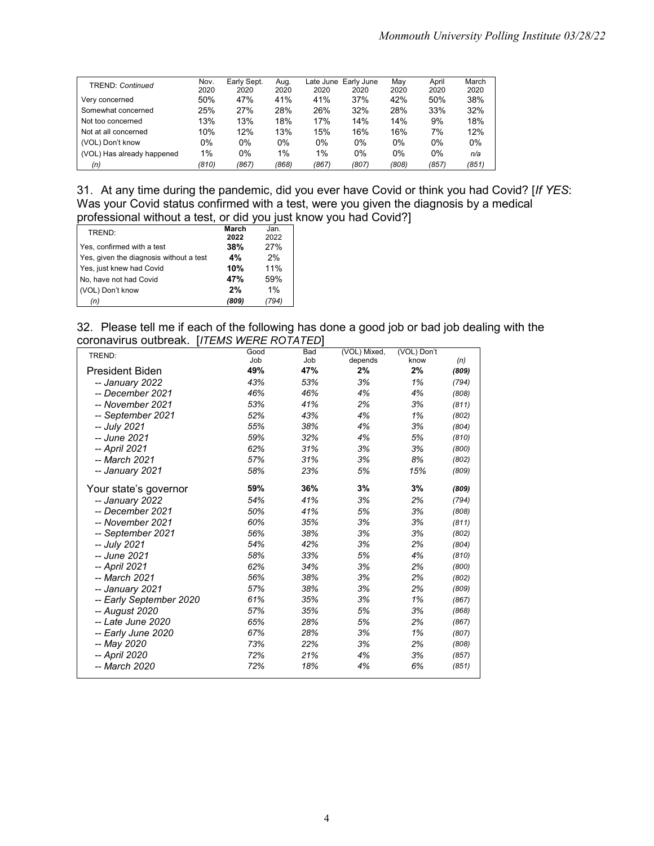| <b>TREND: Continued</b>    | Nov.  | Early Sept. | Aug.  | Late June | Early June | May   | April | March |
|----------------------------|-------|-------------|-------|-----------|------------|-------|-------|-------|
|                            | 2020  | 2020        | 2020  | 2020      | 2020       | 2020  | 2020  | 2020  |
| Very concerned             | 50%   | 47%         | 41%   | 41%       | 37%        | 42%   | 50%   | 38%   |
| Somewhat concerned         | 25%   | 27%         | 28%   | 26%       | 32%        | 28%   | 33%   | 32%   |
| Not too concerned          | 13%   | 13%         | 18%   | 17%       | 14%        | 14%   | 9%    | 18%   |
| Not at all concerned       | 10%   | 12%         | 13%   | 15%       | 16%        | 16%   | 7%    | 12%   |
| (VOL) Don't know           | 0%    | 0%          | 0%    | 0%        | 0%         | 0%    | 0%    | 0%    |
| (VOL) Has already happened | $1\%$ | 0%          | $1\%$ | 1%        | 0%         | 0%    | 0%    | n/a   |
| (n)                        | (810) | (867)       | (868) | (867)     | (807)      | (808) | (857) | (851) |

31. At any time during the pandemic, did you ever have Covid or think you had Covid? [*If YES*: Was your Covid status confirmed with a test, were you given the diagnosis by a medical professional without a test, or did you just know you had Covid?]

| TREND:                                  | March       | Jan.        |
|-----------------------------------------|-------------|-------------|
|                                         | 2022<br>38% | 2022<br>27% |
| Yes, confirmed with a test              |             |             |
| Yes, given the diagnosis without a test | 4%          | 2%          |
| Yes, just knew had Covid                | 10%         | 11%         |
| No, have not had Covid                  | 47%         | 59%         |
| (VOL) Don't know                        | 2%          | 1%          |
| (n)                                     | (809)       |             |

32. Please tell me if each of the following has done a good job or bad job dealing with the coronavirus outbreak. [*ITEMS WERE ROTATED*]

| .<br>TREND:             | Good<br>Job | Bad<br>Job | (VOL) Mixed,<br>depends | (VOL) Don't<br>know | (n)   |
|-------------------------|-------------|------------|-------------------------|---------------------|-------|
| <b>President Biden</b>  | 49%         | 47%        | 2%                      | 2%                  | (809) |
| -- January 2022         | 43%         | 53%        | 3%                      | 1%                  | (794) |
| -- December 2021        | 46%         | 46%        | 4%                      | 4%                  | (808) |
| -- November 2021        | 53%         | 41%        | 2%                      | 3%                  | (811) |
| -- September 2021       | 52%         | 43%        | 4%                      | 1%                  | (802) |
| -- July 2021            | 55%         | 38%        | 4%                      | 3%                  | (804) |
| -- June 2021            | 59%         | 32%        | 4%                      | 5%                  | (810) |
| -- April 2021           | 62%         | 31%        | 3%                      | 3%                  | (800) |
| -- March 2021           | 57%         | 31%        | 3%                      | 8%                  | (802) |
| -- January 2021         | 58%         | 23%        | 5%                      | 15%                 | (809) |
| Your state's governor   | 59%         | 36%        | 3%                      | 3%                  | (809) |
| -- January 2022         | 54%         | 41%        | 3%                      | 2%                  | (794) |
| -- December 2021        | 50%         | 41%        | 5%                      | 3%                  | (808) |
| -- November 2021        | 60%         | 35%        | 3%                      | 3%                  | (811) |
| -- September 2021       | 56%         | 38%        | 3%                      | 3%                  | (802) |
| -- July 2021            | 54%         | 42%        | 3%                      | 2%                  | (804) |
| -- June 2021            | 58%         | 33%        | 5%                      | 4%                  | (810) |
| -- April 2021           | 62%         | 34%        | 3%                      | 2%                  | (800) |
| -- March 2021           | 56%         | 38%        | 3%                      | 2%                  | (802) |
| -- January 2021         | 57%         | 38%        | 3%                      | 2%                  | (809) |
| -- Early September 2020 | 61%         | 35%        | 3%                      | 1%                  | (867) |
| -- August 2020          | 57%         | 35%        | 5%                      | 3%                  | (868) |
| -- Late June 2020       | 65%         | 28%        | 5%                      | 2%                  | (867) |
| -- Early June 2020      | 67%         | 28%        | 3%                      | 1%                  | (807) |
| -- May 2020             | 73%         | 22%        | 3%                      | 2%                  | (808) |
| -- April 2020           | 72%         | 21%        | 4%                      | 3%                  | (857) |
| -- March 2020           | 72%         | 18%        | 4%                      | 6%                  | (851) |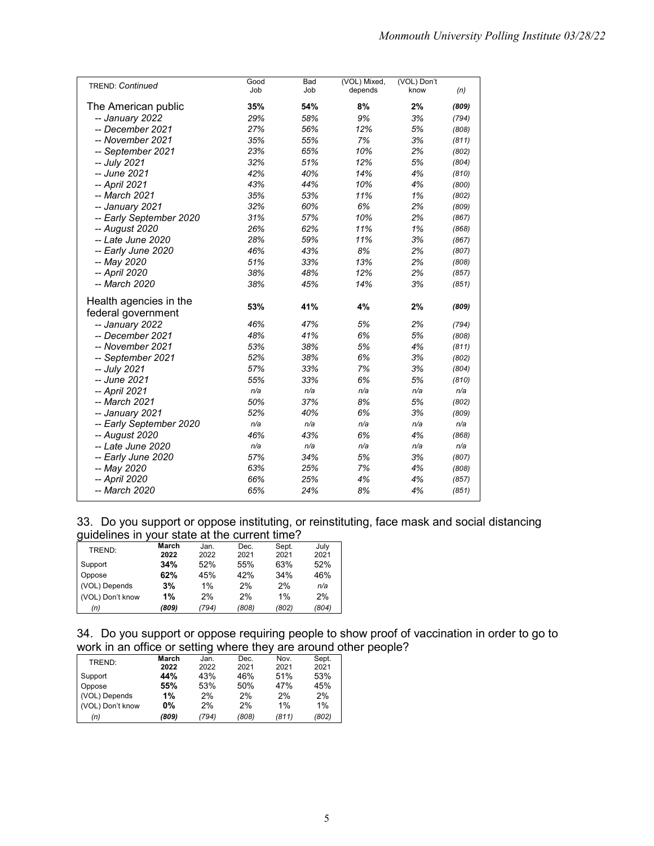| <b>TREND: Continued</b> | Good | Bad | (VOL) Mixed, | (VOL) Don't |       |
|-------------------------|------|-----|--------------|-------------|-------|
|                         | Job  | Job | depends      | know        | (n)   |
| The American public     | 35%  | 54% | 8%           | 2%          | (809) |
| -- January 2022         | 29%  | 58% | 9%           | 3%          | (794) |
| -- December 2021        | 27%  | 56% | 12%          | 5%          | (808) |
| -- November 2021        | 35%  | 55% | 7%           | 3%          | (811) |
| -- September 2021       | 23%  | 65% | 10%          | 2%          | (802) |
| -- July 2021            | 32%  | 51% | 12%          | 5%          | (804) |
| -- June 2021            | 42%  | 40% | 14%          | 4%          | (810) |
| -- April 2021           | 43%  | 44% | 10%          | 4%          | (800) |
| -- March 2021           | 35%  | 53% | 11%          | 1%          | (802) |
| -- January 2021         | 32%  | 60% | 6%           | 2%          | (809) |
| -- Early September 2020 | 31%  | 57% | 10%          | 2%          | (867) |
| -- August 2020          | 26%  | 62% | 11%          | 1%          | (868) |
| -- Late June 2020       | 28%  | 59% | 11%          | 3%          | (867) |
| -- Early June 2020      | 46%  | 43% | 8%           | 2%          | (807) |
| -- May 2020             | 51%  | 33% | 13%          | 2%          | (808) |
| -- April 2020           | 38%  | 48% | 12%          | 2%          | (857) |
| -- March 2020           | 38%  | 45% | 14%          | 3%          | (851) |
| Health agencies in the  |      |     |              |             |       |
| federal government      | 53%  | 41% | 4%           | 2%          | (809) |
| -- January 2022         | 46%  | 47% | 5%           | 2%          | (794) |
| -- December 2021        | 48%  | 41% | 6%           | 5%          | (808) |
| -- November 2021        | 53%  | 38% | 5%           | 4%          | (811) |
| -- September 2021       | 52%  | 38% | 6%           | 3%          | (802) |
| -- July 2021            | 57%  | 33% | 7%           | 3%          | (804) |
| -- June 2021            | 55%  | 33% | 6%           | 5%          | (810) |
| -- April 2021           | n/a  | n/a | n/a          | n/a         | n/a   |
| -- March 2021           | 50%  | 37% | 8%           | 5%          | (802) |
| -- January 2021         | 52%  | 40% | 6%           | 3%          | (809) |
| -- Early September 2020 | n/a  | n/a | n/a          | n/a         | n/a   |
| -- August 2020          | 46%  | 43% | 6%           | 4%          | (868) |
| -- Late June 2020       | n/a  | n/a | n/a          | n/a         | n/a   |
| -- Early June 2020      | 57%  | 34% | 5%           | 3%          | (807) |
| -- May 2020             | 63%  | 25% | 7%           | 4%          | (808) |
| -- April 2020           | 66%  | 25% | 4%           | 4%          | (857) |
| -- March 2020           | 65%  | 24% | 8%           | 4%          | (851) |
|                         |      |     |              |             |       |

33. Do you support or oppose instituting, or reinstituting, face mask and social distancing guidelines in your state at the current time?

| . .              | March | Jan.  | Dec.  | Sept. | July  |
|------------------|-------|-------|-------|-------|-------|
| TREND:           | 2022  | 2022  | 2021  | 2021  | 2021  |
| Support          | 34%   | 52%   | 55%   | 63%   | 52%   |
| Oppose           | 62%   | 45%   | 42%   | 34%   | 46%   |
| (VOL) Depends    | 3%    | 1%    | 2%    | 2%    | n/a   |
| (VOL) Don't know | 1%    | 2%    | 2%    | 1%    | 2%    |
| (n)              | (809) | (794) | (808) | (802) | (804) |

34. Do you support or oppose requiring people to show proof of vaccination in order to go to work in an office or setting where they are around other people?

| TREND:           | March | Jan.  | Dec.  | Nov.  | Sept. |
|------------------|-------|-------|-------|-------|-------|
|                  | 2022  | 2022  | 2021  | 2021  | 2021  |
| Support          | 44%   | 43%   | 46%   | 51%   | 53%   |
| Oppose           | 55%   | 53%   | 50%   | 47%   | 45%   |
| (VOL) Depends    | 1%    | 2%    | 2%    | 2%    | 2%    |
| (VOL) Don't know | 0%    | 2%    | 2%    | 1%    | $1\%$ |
| (n)              | (809) | (794) | (808) | (811) | (802) |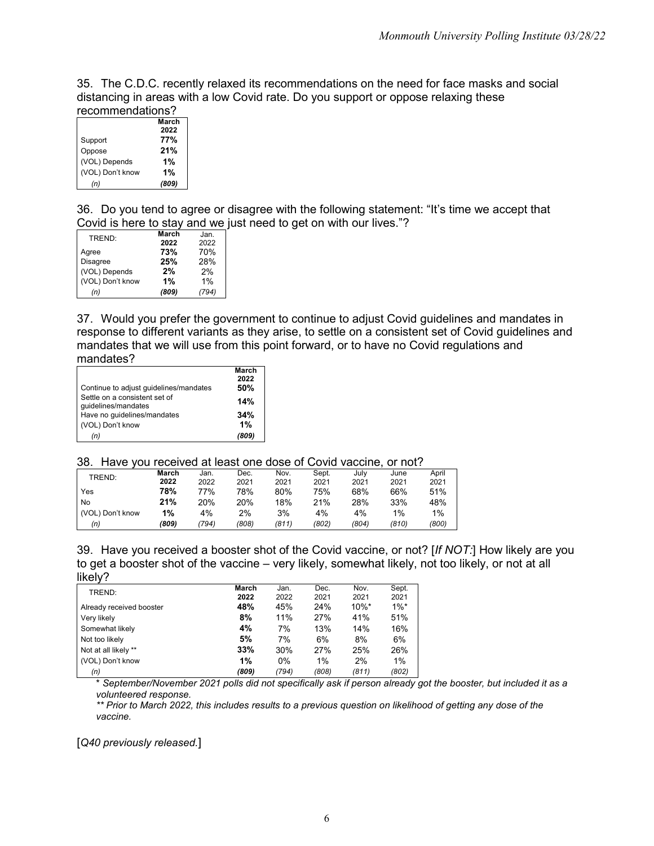35. The C.D.C. recently relaxed its recommendations on the need for face masks and social distancing in areas with a low Covid rate. Do you support or oppose relaxing these recommendations?

| .                |       |  |  |  |
|------------------|-------|--|--|--|
|                  | March |  |  |  |
|                  | 2022  |  |  |  |
| Support          | 77%   |  |  |  |
| Oppose           | 21%   |  |  |  |
| (VOL) Depends    | 1%    |  |  |  |
| (VOL) Don't know | 1%    |  |  |  |
| (n)              | (809) |  |  |  |

36. Do you tend to agree or disagree with the following statement: "It's time we accept that Covid is here to stay and we just need to get on with our lives."?

| TREND:           | March | Jan.  |
|------------------|-------|-------|
|                  | 2022  | 2022  |
| Agree            | 73%   | 70%   |
| <b>Disagree</b>  | 25%   | 28%   |
| (VOL) Depends    | 2%    | 2%    |
| (VOL) Don't know | 1%    | 1%    |
| (n)              | (809) | (794) |

37. Would you prefer the government to continue to adjust Covid guidelines and mandates in response to different variants as they arise, to settle on a consistent set of Covid guidelines and mandates that we will use from this point forward, or to have no Covid regulations and mandates?

| Continue to adjust guidelines/mandates               | March<br>2022<br>50% |
|------------------------------------------------------|----------------------|
| Settle on a consistent set of<br>quidelines/mandates | 14%                  |
| Have no quidelines/mandates<br>(VOL) Don't know      | 34%<br>1%            |
| (n)                                                  | (809)                |

#### 38. Have you received at least one dose of Covid vaccine, or not?

| TREND:           | March | Jan.  | Dec.  | Nov.  | Sept. | July  | June  | April |
|------------------|-------|-------|-------|-------|-------|-------|-------|-------|
|                  | 2022  | 2022  | 2021  | 2021  | 2021  | 2021  | 2021  | 2021  |
| Yes              | 78%   | 77%   | 78%   | 80%   | 75%   | 68%   | 66%   | 51%   |
| No               | 21%   | 20%   | 20%   | 18%   | 21%   | 28%   | 33%   | 48%   |
| (VOL) Don't know | 1%    | 4%    | 2%    | 3%    | 4%    | 4%    | 1%    | 1%    |
| (n)              | (809) | (794) | (808) | (811) | (802) | (804) | (810) | (800) |

39. Have you received a booster shot of the Covid vaccine, or not? [*If NOT:*] How likely are you to get a booster shot of the vaccine – very likely, somewhat likely, not too likely, or not at all likely?

| TREND:                   | March | Jan.  | Dec.  | Nov.     | Sept.   |
|--------------------------|-------|-------|-------|----------|---------|
|                          | 2022  | 2022  | 2021  | 2021     | 2021    |
| Already received booster | 48%   | 45%   | 24%   | $10\%$ * | $1\%$ * |
| Very likely              | 8%    | 11%   | 27%   | 41%      | 51%     |
| Somewhat likely          | 4%    | 7%    | 13%   | 14%      | 16%     |
| Not too likely           | 5%    | 7%    | 6%    | 8%       | 6%      |
| Not at all likely **     | 33%   | 30%   | 27%   | 25%      | 26%     |
| (VOL) Don't know         | 1%    | 0%    | $1\%$ | 2%       | 1%      |
| (n)                      | (809) | (794) | (808) | (811)    | (802)   |

\* *September/November 2021 polls did not specifically ask if person already got the booster, but included it as a volunteered response.*

*\*\* Prior to March 2022, this includes results to a previous question on likelihood of getting any dose of the vaccine.*

[*Q40 previously released.*]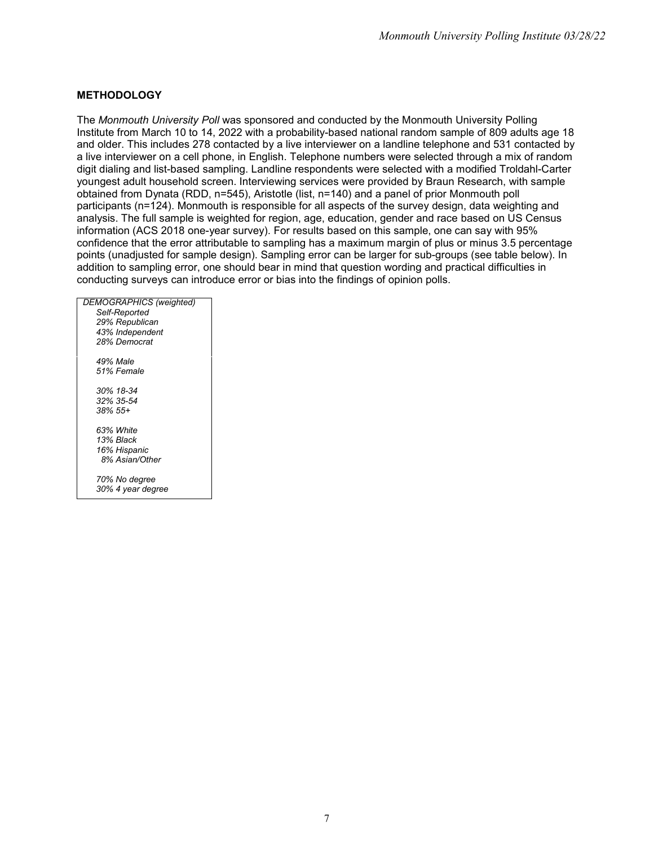#### **METHODOLOGY**

The *Monmouth University Poll* was sponsored and conducted by the Monmouth University Polling Institute from March 10 to 14, 2022 with a probability-based national random sample of 809 adults age 18 and older. This includes 278 contacted by a live interviewer on a landline telephone and 531 contacted by a live interviewer on a cell phone, in English. Telephone numbers were selected through a mix of random digit dialing and list-based sampling. Landline respondents were selected with a modified Troldahl-Carter youngest adult household screen. Interviewing services were provided by Braun Research, with sample obtained from Dynata (RDD, n=545), Aristotle (list, n=140) and a panel of prior Monmouth poll participants (n=124). Monmouth is responsible for all aspects of the survey design, data weighting and analysis. The full sample is weighted for region, age, education, gender and race based on US Census information (ACS 2018 one-year survey). For results based on this sample, one can say with 95% confidence that the error attributable to sampling has a maximum margin of plus or minus 3.5 percentage points (unadjusted for sample design). Sampling error can be larger for sub-groups (see table below). In addition to sampling error, one should bear in mind that question wording and practical difficulties in conducting surveys can introduce error or bias into the findings of opinion polls.

| <b>DEMOGRAPHICS (weighted)</b> |  |
|--------------------------------|--|
| Self-Reported                  |  |
| 29% Republican                 |  |
| 43% Independent                |  |
| 28% Democrat                   |  |
| 49% Male                       |  |
| 51% Female                     |  |
| 30% 18-34                      |  |
| 32% 35-54                      |  |
| $38\%55+$                      |  |
| 63% White                      |  |
| 13% Black                      |  |
| 16% Hispanic                   |  |
| 8% Asian/Other                 |  |
| 70% No degree                  |  |
| 30% 4 year degree              |  |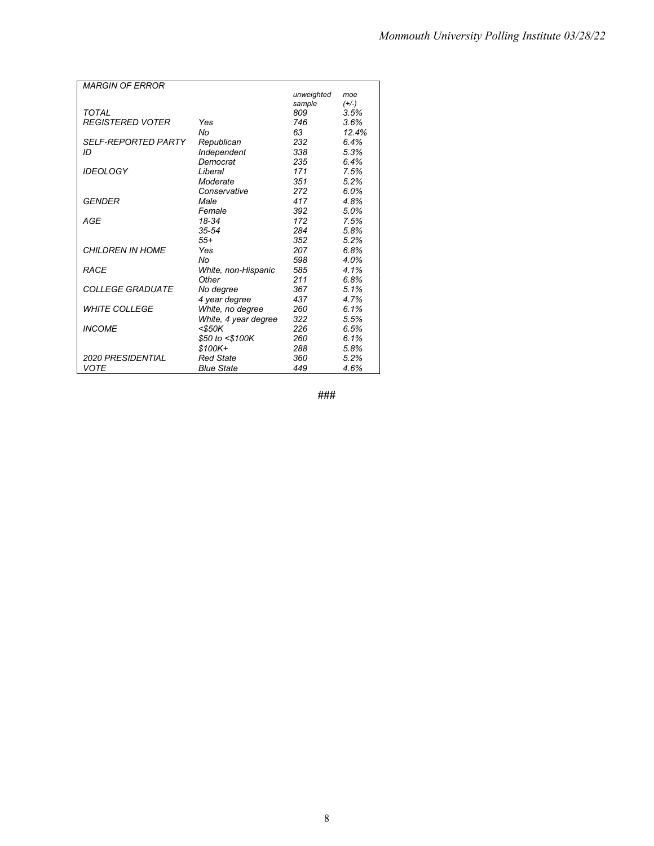| unweighted<br>moe<br>sample<br>$(+/-)$<br>TOTAL<br>809<br>3.5%<br><b>REGISTERED VOTER</b><br>746<br>3.6%<br>Yes<br>No<br>63<br>12.4%<br>232<br><b>SELF-REPORTED PARTY</b><br>6.4%<br>Republican<br>ID<br>338<br>5.3%<br>Independent<br>Democrat<br>235<br>6.4%<br><b>IDEOLOGY</b><br>Liberal<br>171<br>7.5%<br>Moderate<br>351<br>5.2%<br>272<br>6.0%<br>Conservative<br>GENDER<br>Male<br>417<br>4.8%<br>392<br>Female<br>5.0%<br>18-34<br>172<br>AGE<br>7.5%<br>$35 - 54$<br>284<br>5.8%<br>352<br>$55+$<br>5.2%<br><b>CHILDREN IN HOME</b><br>207<br>Yes<br>6.8%<br>No<br>598<br>4.0%<br><b>RACE</b><br>585<br>4.1%<br>White, non-Hispanic<br>Other<br>211<br>6.8%<br>5.1%<br><i><b>COLLEGE GRADUATE</b></i><br>No degree<br>367<br>4 year degree<br>437<br>4.7%<br>White, no degree<br><b>WHITE COLLEGE</b><br>260<br>6.1%<br>322<br>White, 4 year degree<br>5.5%<br><b>INCOME</b><br>226<br><\$50K<br>6.5%<br>\$50 to <\$100K<br>260<br>6.1%<br>288<br>$$100K +$<br>5.8%<br><b>2020 PRESIDENTIAL</b><br><b>Red State</b><br>360<br>5.2%<br>VOTE<br><b>Blue State</b><br>449<br>4.6% | <b>MARGIN OF ERROR</b> |  |  |
|------------------------------------------------------------------------------------------------------------------------------------------------------------------------------------------------------------------------------------------------------------------------------------------------------------------------------------------------------------------------------------------------------------------------------------------------------------------------------------------------------------------------------------------------------------------------------------------------------------------------------------------------------------------------------------------------------------------------------------------------------------------------------------------------------------------------------------------------------------------------------------------------------------------------------------------------------------------------------------------------------------------------------------------------------------------------------------------|------------------------|--|--|
|                                                                                                                                                                                                                                                                                                                                                                                                                                                                                                                                                                                                                                                                                                                                                                                                                                                                                                                                                                                                                                                                                          |                        |  |  |
|                                                                                                                                                                                                                                                                                                                                                                                                                                                                                                                                                                                                                                                                                                                                                                                                                                                                                                                                                                                                                                                                                          |                        |  |  |
|                                                                                                                                                                                                                                                                                                                                                                                                                                                                                                                                                                                                                                                                                                                                                                                                                                                                                                                                                                                                                                                                                          |                        |  |  |
|                                                                                                                                                                                                                                                                                                                                                                                                                                                                                                                                                                                                                                                                                                                                                                                                                                                                                                                                                                                                                                                                                          |                        |  |  |
|                                                                                                                                                                                                                                                                                                                                                                                                                                                                                                                                                                                                                                                                                                                                                                                                                                                                                                                                                                                                                                                                                          |                        |  |  |
|                                                                                                                                                                                                                                                                                                                                                                                                                                                                                                                                                                                                                                                                                                                                                                                                                                                                                                                                                                                                                                                                                          |                        |  |  |
|                                                                                                                                                                                                                                                                                                                                                                                                                                                                                                                                                                                                                                                                                                                                                                                                                                                                                                                                                                                                                                                                                          |                        |  |  |
|                                                                                                                                                                                                                                                                                                                                                                                                                                                                                                                                                                                                                                                                                                                                                                                                                                                                                                                                                                                                                                                                                          |                        |  |  |
|                                                                                                                                                                                                                                                                                                                                                                                                                                                                                                                                                                                                                                                                                                                                                                                                                                                                                                                                                                                                                                                                                          |                        |  |  |
|                                                                                                                                                                                                                                                                                                                                                                                                                                                                                                                                                                                                                                                                                                                                                                                                                                                                                                                                                                                                                                                                                          |                        |  |  |
|                                                                                                                                                                                                                                                                                                                                                                                                                                                                                                                                                                                                                                                                                                                                                                                                                                                                                                                                                                                                                                                                                          |                        |  |  |
|                                                                                                                                                                                                                                                                                                                                                                                                                                                                                                                                                                                                                                                                                                                                                                                                                                                                                                                                                                                                                                                                                          |                        |  |  |
|                                                                                                                                                                                                                                                                                                                                                                                                                                                                                                                                                                                                                                                                                                                                                                                                                                                                                                                                                                                                                                                                                          |                        |  |  |
|                                                                                                                                                                                                                                                                                                                                                                                                                                                                                                                                                                                                                                                                                                                                                                                                                                                                                                                                                                                                                                                                                          |                        |  |  |
|                                                                                                                                                                                                                                                                                                                                                                                                                                                                                                                                                                                                                                                                                                                                                                                                                                                                                                                                                                                                                                                                                          |                        |  |  |
|                                                                                                                                                                                                                                                                                                                                                                                                                                                                                                                                                                                                                                                                                                                                                                                                                                                                                                                                                                                                                                                                                          |                        |  |  |
|                                                                                                                                                                                                                                                                                                                                                                                                                                                                                                                                                                                                                                                                                                                                                                                                                                                                                                                                                                                                                                                                                          |                        |  |  |
|                                                                                                                                                                                                                                                                                                                                                                                                                                                                                                                                                                                                                                                                                                                                                                                                                                                                                                                                                                                                                                                                                          |                        |  |  |
|                                                                                                                                                                                                                                                                                                                                                                                                                                                                                                                                                                                                                                                                                                                                                                                                                                                                                                                                                                                                                                                                                          |                        |  |  |
|                                                                                                                                                                                                                                                                                                                                                                                                                                                                                                                                                                                                                                                                                                                                                                                                                                                                                                                                                                                                                                                                                          |                        |  |  |
|                                                                                                                                                                                                                                                                                                                                                                                                                                                                                                                                                                                                                                                                                                                                                                                                                                                                                                                                                                                                                                                                                          |                        |  |  |
|                                                                                                                                                                                                                                                                                                                                                                                                                                                                                                                                                                                                                                                                                                                                                                                                                                                                                                                                                                                                                                                                                          |                        |  |  |
|                                                                                                                                                                                                                                                                                                                                                                                                                                                                                                                                                                                                                                                                                                                                                                                                                                                                                                                                                                                                                                                                                          |                        |  |  |
|                                                                                                                                                                                                                                                                                                                                                                                                                                                                                                                                                                                                                                                                                                                                                                                                                                                                                                                                                                                                                                                                                          |                        |  |  |
|                                                                                                                                                                                                                                                                                                                                                                                                                                                                                                                                                                                                                                                                                                                                                                                                                                                                                                                                                                                                                                                                                          |                        |  |  |
|                                                                                                                                                                                                                                                                                                                                                                                                                                                                                                                                                                                                                                                                                                                                                                                                                                                                                                                                                                                                                                                                                          |                        |  |  |
|                                                                                                                                                                                                                                                                                                                                                                                                                                                                                                                                                                                                                                                                                                                                                                                                                                                                                                                                                                                                                                                                                          |                        |  |  |
|                                                                                                                                                                                                                                                                                                                                                                                                                                                                                                                                                                                                                                                                                                                                                                                                                                                                                                                                                                                                                                                                                          |                        |  |  |
|                                                                                                                                                                                                                                                                                                                                                                                                                                                                                                                                                                                                                                                                                                                                                                                                                                                                                                                                                                                                                                                                                          |                        |  |  |

**###**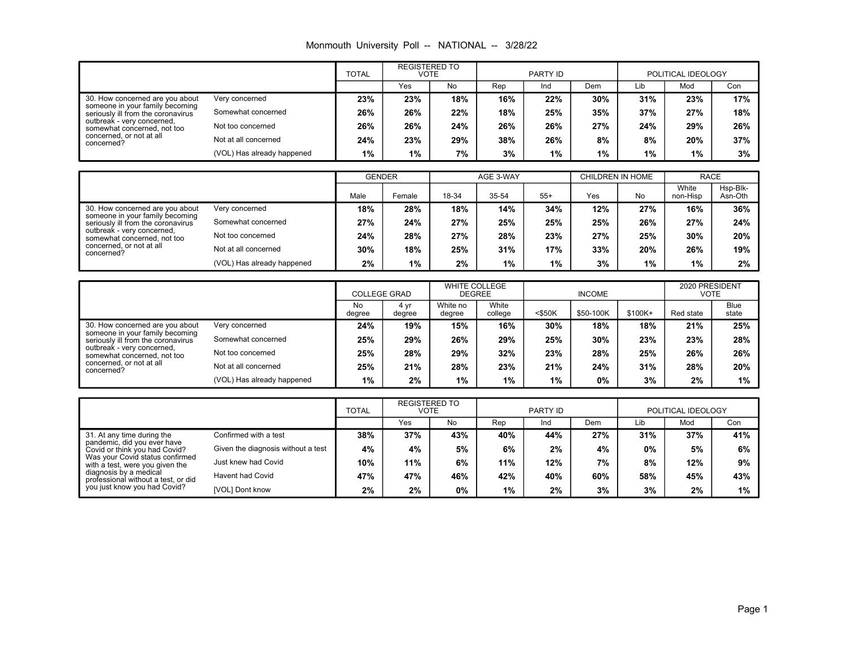|  |  |  | Monmouth University Poll -- NATIONAL -- 3/28/22 |  |
|--|--|--|-------------------------------------------------|--|
|--|--|--|-------------------------------------------------|--|

|                                                                                                          |                            | <b>TOTAL</b> | <b>REGISTERED TO</b><br><b>VOTE</b> |     |     | PARTY ID |     |       | POLITICAL IDEOLOGY |     |
|----------------------------------------------------------------------------------------------------------|----------------------------|--------------|-------------------------------------|-----|-----|----------|-----|-------|--------------------|-----|
|                                                                                                          |                            |              | Yes                                 | No  | Rep | Ind      | Dem | Lib   | Mod                | Con |
| 30. How concerned are you about<br>someone in your family becoming<br>seriously ill from the coronavirus | Very concerned             | 23%          | 23%                                 | 18% | 16% | 22%      | 30% | 31%   | 23%                | 17% |
|                                                                                                          | Somewhat concerned         | 26%          | 26%                                 | 22% | 18% | 25%      | 35% | 37%   | 27%                | 18% |
| outbreak - very concerned,<br>somewhat concerned, not too                                                | Not too concerned          | 26%          | 26%                                 | 24% | 26% | 26%      | 27% | 24%   | 29%                | 26% |
| concerned, or not at all<br>concerned?                                                                   | Not at all concerned       | 24%          | 23%                                 | 29% | 38% | 26%      | 8%  | 8%    | 20%                | 37% |
|                                                                                                          | (VOL) Has already happened | $1\%$        | 1%                                  | 7%  | 3%  | $1\%$    | 1%  | $1\%$ | 1%                 | 3%  |

|                                                                                                          |                            |      | <b>GENDER</b> |       | AGE 3-WAY |       | CHILDREN IN HOME |       | <b>RACE</b>       |                     |
|----------------------------------------------------------------------------------------------------------|----------------------------|------|---------------|-------|-----------|-------|------------------|-------|-------------------|---------------------|
|                                                                                                          |                            | Male | Female        | 18-34 | 35-54     | $55+$ | Yes              | No    | White<br>non-Hisp | Hsp-Blk-<br>Asn-Oth |
| 30. How concerned are you about<br>someone in your family becoming<br>seriously ill from the coronavirus | Very concerned             | 18%  | 28%           | 18%   | 14%       | 34%   | 12%              | 27%   | 16%               | 36%                 |
|                                                                                                          | Somewhat concerned         | 27%  | 24%           | 27%   | 25%       | 25%   | 25%              | 26%   | 27%               | 24%                 |
| outbreak - very concerned,<br>somewhat concerned, not too                                                | Not too concerned          | 24%  | 28%           | 27%   | 28%       | 23%   | 27%              | 25%   | 30%               | 20%                 |
| concerned, or not at all<br>concerned?                                                                   | Not at all concerned       | 30%  | 18%           | 25%   | 31%       | 17%   | 33%              | 20%   | 26%               | 19%                 |
|                                                                                                          | (VOL) Has already happened | 2%   | 1%            | 2%    | 1%        | 1%    | 3%               | $1\%$ | $1\%$             | 2%                  |

|                                                                                                          |                            | <b>COLLEGE GRAD</b> |                | <b>WHITE COLLEGE</b><br><b>DEGREE</b> |                  | <b>INCOME</b> |           |         | 2020 PRESIDENT<br>VOTE |                      |
|----------------------------------------------------------------------------------------------------------|----------------------------|---------------------|----------------|---------------------------------------|------------------|---------------|-----------|---------|------------------------|----------------------|
|                                                                                                          |                            |                     | 4 vr<br>degree | White no<br>degree                    | White<br>college | $<$ \$50K     | \$50-100K | \$100K+ | Red state              | <b>Blue</b><br>state |
| 30. How concerned are you about<br>someone in your family becoming<br>seriously ill from the coronavirus | Very concerned             | 24%                 | 19%            | 15%                                   | 16%              | 30%           | 18%       | 18%     | 21%                    | 25%                  |
|                                                                                                          | Somewhat concerned         | 25%                 | 29%            | 26%                                   | 29%              | 25%           | 30%       | 23%     | 23%                    | 28%                  |
| outbreak - very concerned,<br>somewhat concerned, not too                                                | Not too concerned          | 25%                 | 28%            | 29%                                   | 32%              | 23%           | 28%       | 25%     | 26%                    | 26%                  |
| concerned, or not at all<br>concerned?                                                                   | Not at all concerned       | 25%                 | 21%            | 28%                                   | 23%              | 21%           | 24%       | 31%     | 28%                    | 20%                  |
|                                                                                                          | (VOL) Has already happened | 1%                  | 2%             | 1%                                    | $1\%$            | 1%            | 0%        | 3%      | 2%                     | 1%                   |

|                                                                                               |                                    | <b>TOTAL</b> | <b>REGISTERED TO</b><br>VOTE |     |     | PARTY ID |     |       | POLITICAL IDEOLOGY |     |
|-----------------------------------------------------------------------------------------------|------------------------------------|--------------|------------------------------|-----|-----|----------|-----|-------|--------------------|-----|
|                                                                                               |                                    |              | Yes                          | No  | Rep | Ind      | Dem | Lib   | Mod                | Con |
| 31. At any time during the<br>pandemic, did you ever have<br>Covid or think you had Covid?    | Confirmed with a test              | 38%          | 37%                          | 43% | 40% | 44%      | 27% | 31%   | 37%                | 41% |
|                                                                                               | Given the diagnosis without a test | 4%           | 4%                           | 5%  | 6%  | 2%       | 4%  | $0\%$ | 5%                 | 6%  |
| Was your Covid status confirmed<br>with a test, were you given the                            | Just knew had Covid                | 10%          | 11%                          | 6%  | 11% | 12%      | 7%  | 8%    | 12%                | 9%  |
| diagnosis by a medical<br>professional without a test, or did<br>you just know you had Covid? | Havent had Covid                   | 47%          | 47%                          | 46% | 42% | 40%      | 60% | 58%   | 45%                | 43% |
|                                                                                               | [VOL] Dont know                    | 2%           | 2%                           | 0%  | 1%  | 2%       | 3%  | 3%    | 2%                 | 1%  |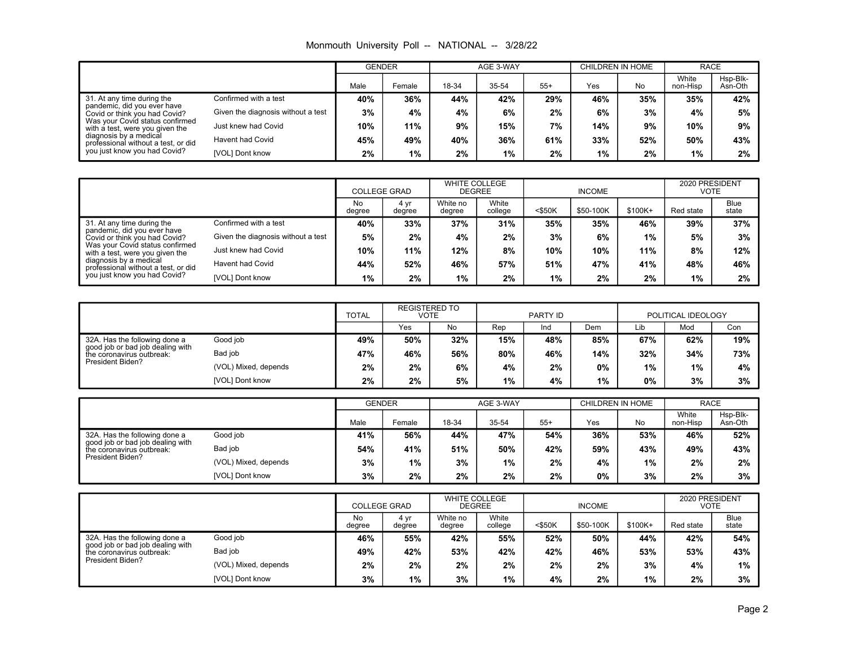|  |  |  | Monmouth University Poll -- NATIONAL -- 3/28/22 |  |
|--|--|--|-------------------------------------------------|--|
|--|--|--|-------------------------------------------------|--|

|                                                                                               |                                    | <b>GENDER</b> |        |       | AGE 3-WAY |       |       | CHILDREN IN HOME |                   | <b>RACE</b>         |
|-----------------------------------------------------------------------------------------------|------------------------------------|---------------|--------|-------|-----------|-------|-------|------------------|-------------------|---------------------|
|                                                                                               |                                    | Male          | Female | 18-34 | 35-54     | $55+$ | Yes   | No               | White<br>non-Hisp | Hsp-Blk-<br>Asn-Oth |
| 31. At any time during the<br>pandemic, did you ever have<br>Covid or think you had Covid?    | Confirmed with a test              | 40%           | 36%    | 44%   | 42%       | 29%   | 46%   | 35%              | 35%               | 42%                 |
|                                                                                               | Given the diagnosis without a test | 3%            | 4%     | 4%    | 6%        | 2%    | 6%    | 3%               | 4%                | 5%                  |
| Was your Covid status confirmed<br>with a test, were you given the                            | Just knew had Covid                | 10%           | 11%    | 9%    | 15%       | 7%    | 14%   | 9%               | 10%               | 9%                  |
| diagnosis by a medical<br>professional without a test, or did<br>you just know you had Covid? | Havent had Covid                   | 45%           | 49%    | 40%   | 36%       | 61%   | 33%   | 52%              | 50%               | 43%                 |
|                                                                                               | [VOL] Dont know                    | 2%            | $1\%$  | 2%    | $1\%$     | 2%    | $1\%$ | 2%               | 1%                | 2%                  |

|                                                                                               |                                    |              | <b>COLLEGE GRAD</b> |                    | <b>WHITE COLLEGE</b><br><b>DEGREE</b> |           | <b>INCOME</b> |          |           | 2020 PRESIDENT<br>VOTE |  |
|-----------------------------------------------------------------------------------------------|------------------------------------|--------------|---------------------|--------------------|---------------------------------------|-----------|---------------|----------|-----------|------------------------|--|
|                                                                                               |                                    | No<br>degree | 4 vr<br>degree      | White no<br>degree | White<br>college                      | $<$ \$50K | \$50-100K     | $$100K+$ | Red state | Blue<br>state          |  |
| 31. At any time during the<br>pandemic, did you ever have<br>Covid or think you had Covid?    | Confirmed with a test              | 40%          | 33%                 | 37%                | 31%                                   | 35%       | 35%           | 46%      | 39%       | 37%                    |  |
|                                                                                               | Given the diagnosis without a test | 5%           | 2%                  | 4%                 | 2%                                    | 3%        | 6%            | 1%       | 5%        | 3%                     |  |
| Was your Covid status confirmed<br>with a test, were you given the                            | Just knew had Covid                | 10%          | 11%                 | 12%                | 8%                                    | 10%       | 10%           | 11%      | 8%        | 12%                    |  |
| diagnosis by a medical<br>professional without a test, or did<br>you just know you had Covid? | <b>Havent had Covid</b>            | 44%          | 52%                 | 46%                | 57%                                   | 51%       | 47%           | 41%      | 48%       | 46%                    |  |
|                                                                                               | [VOL] Dont know                    | 1%           | 2%                  | $1\%$              | 2%                                    | 1%        | 2%            | 2%       | 1%        | 2%                     |  |

|                                                                                                                    |                      | <b>TOTAL</b> | <b>REGISTERED TO</b><br>VOTE |     | PARTY ID |     |     | POLITICAL IDEOLOGY |     |     |
|--------------------------------------------------------------------------------------------------------------------|----------------------|--------------|------------------------------|-----|----------|-----|-----|--------------------|-----|-----|
|                                                                                                                    |                      |              | Yes                          | No. | Rep      | Ind | Dem | Lib                | Mod | Con |
| 32A. Has the following done a<br>good job or bad job dealing with<br>the coronavirus outbreak:<br>President Biden? | Good job             | 49%          | 50%                          | 32% | 15%      | 48% | 85% | 67%                | 62% | 19% |
|                                                                                                                    | Bad job              | 47%          | 46%                          | 56% | 80%      | 46% | 14% | 32%                | 34% | 73% |
|                                                                                                                    | (VOL) Mixed, depends | 2%           | 2%                           | 6%  | 4%       | 2%  | 0%  | 1%                 | 1%  | 4%  |
|                                                                                                                    | [VOL] Dont know      | 2%           | 2%                           | 5%  | 1%       | 4%  | 1%  | 0%                 | 3%  | 3%  |

|                                                                                                                    |                      | <b>GENDER</b> |        | AGE 3-WAY |       |       | CHILDREN IN HOME |       | <b>RACE</b>       |                     |
|--------------------------------------------------------------------------------------------------------------------|----------------------|---------------|--------|-----------|-------|-------|------------------|-------|-------------------|---------------------|
|                                                                                                                    |                      | Male          | Female | 18-34     | 35-54 | $55+$ | Yes              | No    | White<br>non-Hisp | Hsp-Blk-<br>Asn-Oth |
| 32A. Has the following done a<br>good job or bad job dĕaling with<br>the coronavirus outbreak:<br>President Biden? | Good job             | 41%           | 56%    | 44%       | 47%   | 54%   | 36%              | 53%   | 46%               | 52%                 |
|                                                                                                                    | Bad iob              | 54%           | 41%    | 51%       | 50%   | 42%   | 59%              | 43%   | 49%               | 43%                 |
|                                                                                                                    | (VOL) Mixed, depends | 3%            | 1%     | 3%        | $1\%$ | 2%    | 4%               | $1\%$ | 2%                | 2%                  |
|                                                                                                                    | [VOL] Dont know      | 3%            | 2%     | 2%        | 2%    | 2%    | 0%               | 3%    | 2%                | 3%                  |

|                                                               |                      | <b>COLLEGE GRAD</b> |                | <b>WHITE COLLEGE</b><br><b>DEGREE</b> |                  | <b>INCOME</b> |           |         | 2020 PRESIDENT<br>VOTE |                      |
|---------------------------------------------------------------|----------------------|---------------------|----------------|---------------------------------------|------------------|---------------|-----------|---------|------------------------|----------------------|
|                                                               |                      | No<br>degree        | 4 vr<br>degree | White no<br>degree                    | White<br>college | $<$ \$50K     | \$50-100K | \$100K+ | Red state              | <b>Blue</b><br>state |
| 32A. Has the following done a                                 | Good job             | 46%                 | 55%            | 42%                                   | 55%              | 52%           | 50%       | 44%     | 42%                    | 54%                  |
| good job or bad job dealing with<br>the coronavirus outbreak: | Bad job              | 49%                 | 42%            | 53%                                   | 42%              | 42%           | 46%       | 53%     | 53%                    | 43%                  |
| President Biden?                                              | (VOL) Mixed, depends | 2%                  | 2%             | 2%                                    | 2%               | 2%            | 2%        | 3%      | 4%                     | 1%                   |
|                                                               | [VOL] Dont know      | 3%                  | 1%             | 3%                                    | $1\%$            | 4%            | 2%        | 1%      | 2%                     | 3%                   |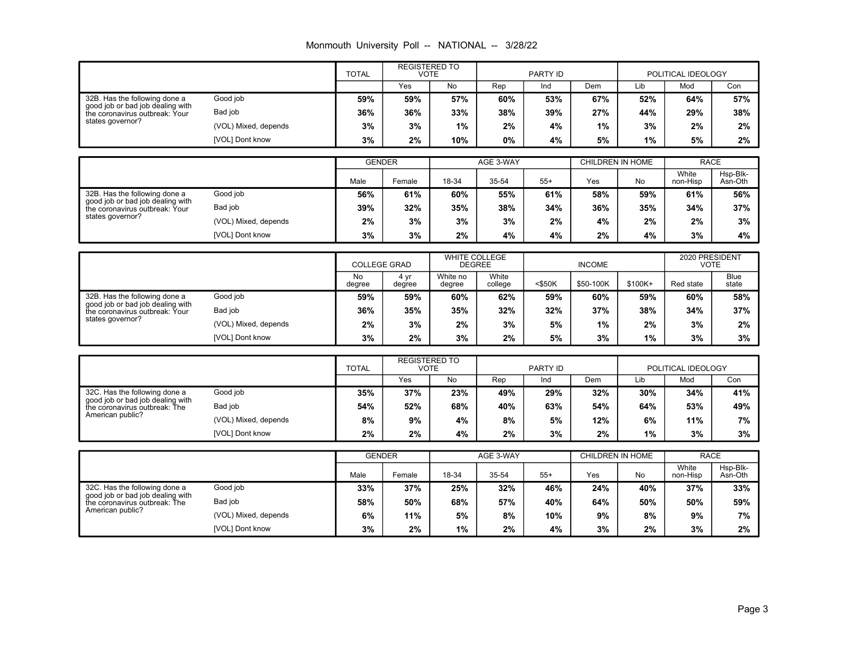# Monmouth University Poll -- NATIONAL -- 3/28/22

|                                                                    |                      | <b>TOTAL</b> | <b>REGISTERED TO</b><br><b>VOTE</b> |     |       | PARTY ID |     |       | POLITICAL IDEOLOGY |     |
|--------------------------------------------------------------------|----------------------|--------------|-------------------------------------|-----|-------|----------|-----|-------|--------------------|-----|
|                                                                    |                      |              | Yes                                 | No. | Rep   | Ind      | Dem | Lib   | Mod                | Con |
| 32B. Has the following done a                                      | Good job             | 59%          | 59%                                 | 57% | 60%   | 53%      | 67% | 52%   | 64%                | 57% |
| good job or bad job dealing with<br>the coronavirus outbreak: Your | Bad job              | 36%          | 36%                                 | 33% | 38%   | 39%      | 27% | 44%   | 29%                | 38% |
| states governor?                                                   | (VOL) Mixed, depends | 3%           | 3%                                  | 1%  | 2%    | 4%       | 1%  | 3%    | 2%                 | 2%  |
|                                                                    | [VOL] Dont know      | 3%           | 2%                                  | 10% | $0\%$ | 4%       | 5%  | $1\%$ | 5%                 | 2%  |

|                                                                    |                      | <b>GENDER</b> |        | AGE 3-WAY |       |       | CHILDREN IN HOME |     | RACE              |                     |
|--------------------------------------------------------------------|----------------------|---------------|--------|-----------|-------|-------|------------------|-----|-------------------|---------------------|
|                                                                    |                      | Male          | Female | 18-34     | 35-54 | $55+$ | Yes              | No  | White<br>non-Hisp | Hsp-Blk-<br>Asn-Oth |
| 32B. Has the following done a                                      | Good job             | 56%           | 61%    | 60%       | 55%   | 61%   | 58%              | 59% | 61%               | 56%                 |
| good job or bad job dēaling with<br>the coronavirus outbreak: Your | Bad job              | 39%           | 32%    | 35%       | 38%   | 34%   | 36%              | 35% | 34%               | 37%                 |
| states governor?                                                   | (VOL) Mixed, depends | 2%            | 3%     | 3%        | 3%    | 2%    | 4%               | 2%  | $2\%$             | 3%                  |
|                                                                    | [VOL] Dont know      | 3%            | 3%     | 2%        | 4%    | 4%    | 2%               | 4%  | 3%                | 4%                  |

|                                                                    |                      | <b>COLLEGE GRAD</b> |                | <b>WHITE COLLEGE</b><br><b>DEGREE</b> |                  |           | <b>INCOME</b> |         | 2020 PRESIDENT<br>VOTE |                      |
|--------------------------------------------------------------------|----------------------|---------------------|----------------|---------------------------------------|------------------|-----------|---------------|---------|------------------------|----------------------|
|                                                                    |                      | No<br>degree        | 4 vr<br>degree | White no<br>degree                    | White<br>college | $<$ \$50K | \$50-100K     | \$100K+ | Red state              | <b>Blue</b><br>state |
| 32B. Has the following done a                                      | Good job             | 59%                 | 59%            | 60%                                   | 62%              | 59%       | 60%           | 59%     | 60%                    | 58%                  |
| good job or bad job dealing with<br>the coronavirus outbreak: Your | Bad job              | 36%                 | 35%            | 35%                                   | 32%              | 32%       | 37%           | 38%     | 34%                    | 37%                  |
| states governor?                                                   | (VOL) Mixed, depends | 2%                  | 3%             | 2%                                    | 3%               | 5%        | $1\%$         | 2%      | 3%                     | 2%                   |
|                                                                    | [VOL] Dont know      | 3%                  | 2%             | 3%                                    | 2%               | 5%        | 3%            | 1%      | 3%                     | 3%                   |

|                                                                   |                      | <b>TOTAL</b> | <b>REGISTERED TO</b><br>VOTE |     | PARTY ID |     |     | POLITICAL IDEOLOGY |     |     |
|-------------------------------------------------------------------|----------------------|--------------|------------------------------|-----|----------|-----|-----|--------------------|-----|-----|
|                                                                   |                      |              | Yes                          | No  | Rep      | Ind | Dem | Lib                | Mod | Con |
| 32C. Has the following done a<br>good job or bad job dealing with | Good job             | 35%          | 37%                          | 23% | 49%      | 29% | 32% | 30%                | 34% | 41% |
| the coronavirus outbreak: The                                     | Bad job              | 54%          | 52%                          | 68% | 40%      | 63% | 54% | 64%                | 53% | 49% |
| American public?                                                  | (VOL) Mixed, depends | 8%           | 9%                           | 4%  | 8%       | 5%  | 12% | 6%                 | 11% | 7%  |
|                                                                   | [VOL] Dont know      | 2%           | 2%                           | 4%  | 2%       | 3%  | 2%  | 1%                 | 3%  | 3%  |

|                                                                   |                      | <b>GENDER</b> |        | AGE 3-WAY |       |       | CHILDREN IN HOME |     | <b>RACE</b>       |                     |
|-------------------------------------------------------------------|----------------------|---------------|--------|-----------|-------|-------|------------------|-----|-------------------|---------------------|
|                                                                   |                      | Male          | Female | 18-34     | 35-54 | $55+$ | Yes              | No  | White<br>non-Hisp | Hsp-Blk-<br>Asn-Oth |
| 32C. Has the following done a                                     | Good job             | 33%           | 37%    | 25%       | 32%   | 46%   | 24%              | 40% | 37%               | 33%                 |
| good job or bad job dealing with<br>the coronavirus outbreak: The | Bad job              | 58%           | 50%    | 68%       | 57%   | 40%   | 64%              | 50% | 50%               | 59%                 |
| American public?                                                  | (VOL) Mixed, depends | 6%            | 11%    | 5%        | 8%    | 10%   | 9%               | 8%  | 9%                | 7%                  |
|                                                                   | [VOL] Dont know      | 3%            | 2%     | 1%        | 2%    | 4%    | 3%               | 2%  | 3%                | 2%                  |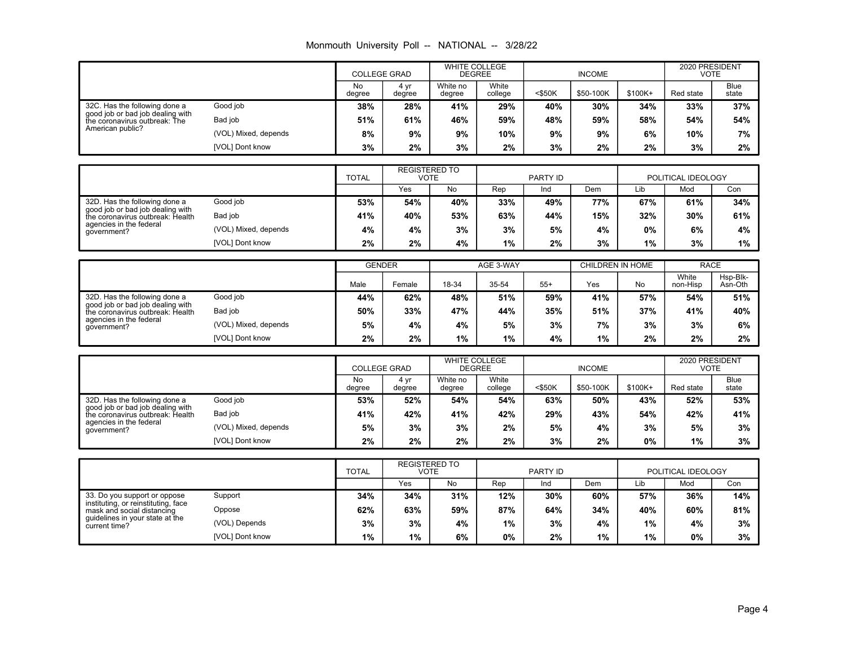# Monmouth University Poll -- NATIONAL -- 3/28/22

|                                                                   |                      | <b>COLLEGE GRAD</b> |                | <b>WHITE COLLEGE</b><br><b>DEGREE</b> |                  | <b>INCOME</b> |           |         | 2020 PRESIDENT<br><b>VOTE</b> |                      |
|-------------------------------------------------------------------|----------------------|---------------------|----------------|---------------------------------------|------------------|---------------|-----------|---------|-------------------------------|----------------------|
|                                                                   |                      | No<br>degree        | 4 yr<br>degree | White no<br>degree                    | White<br>college | $<$ \$50K     | \$50-100K | \$100K+ | Red state                     | <b>Blue</b><br>state |
| 32C. Has the following done a                                     | Good job             | 38%                 | 28%            | 41%                                   | 29%              | 40%           | 30%       | 34%     | 33%                           | 37%                  |
| good job or bad job dealing with<br>the coronavirus outbreak: The | Bad job              | 51%                 | 61%            | 46%                                   | 59%              | 48%           | 59%       | 58%     | 54%                           | 54%                  |
| American public?                                                  | (VOL) Mixed, depends | 8%                  | 9%             | 9%                                    | 10%              | 9%            | 9%        | 6%      | 10%                           | 7%                   |
|                                                                   | [VOL] Dont know      | 3%                  | 2%             | 3%                                    | 2%               | 3%            | 2%        | 2%      | 3%                            | 2%                   |

|                                                                   |                      | <b>TOTAL</b> | <b>REGISTERED TO</b><br>VOTE |     |     | PARTY ID |     |     | POLITICAL IDEOLOGY |     |
|-------------------------------------------------------------------|----------------------|--------------|------------------------------|-----|-----|----------|-----|-----|--------------------|-----|
|                                                                   |                      |              | Yes                          | No  | Rep | Ind      | Dem | Lib | Mod                | Con |
| 32D. Has the following done a<br>good job or bad job dealing with | Good job             | 53%          | 54%                          | 40% | 33% | 49%      | 77% | 67% | 61%                | 34% |
| the coronavirus outbreak: Health                                  | Bad job              | 41%          | 40%                          | 53% | 63% | 44%      | 15% | 32% | 30%                | 61% |
| agencies in the federal<br>qovernment?                            | (VOL) Mixed, depends | 4%           | 4%                           | 3%  | 3%  | 5%       | 4%  | 0%  | 6%                 | 4%  |
|                                                                   | [VOL] Dont know      | 2%           | 2%                           | 4%  | 1%  | 2%       | 3%  | 1%  | 3%                 | 1%  |

|                                                                      |                      | <b>GENDER</b> |        |       | AGE 3-WAY |       | CHILDREN IN HOME |     | <b>RACE</b>       |                     |
|----------------------------------------------------------------------|----------------------|---------------|--------|-------|-----------|-------|------------------|-----|-------------------|---------------------|
|                                                                      |                      | Male          | Female | 18-34 | 35-54     | $55+$ | Yes              | No  | White<br>non-Hisp | Hsp-Blk-<br>Asn-Oth |
| 32D. Has the following done a                                        | Good job             | 44%           | 62%    | 48%   | 51%       | 59%   | 41%              | 57% | 54%               | 51%                 |
| good job or bad job dealing with<br>the coronavirus outbreak: Health | Bad job              | 50%           | 33%    | 47%   | 44%       | 35%   | 51%              | 37% | 41%               | 40%                 |
| agencies in the federal<br>qovernment?                               | (VOL) Mixed, depends | 5%            | 4%     | 4%    | 5%        | 3%    | 7%               | 3%  | 3%                | 6%                  |
|                                                                      | [VOL] Dont know      | 2%            | 2%     | 1%    | 1%        | 4%    | 1%               | 2%  | 2%                | 2%                  |

|                                                                      |                      | <b>COLLEGE GRAD</b> |                | <b>WHITE COLLEGE</b><br><b>DEGREE</b> |                  | <b>INCOME</b> |           |         | 2020 PRESIDENT<br><b>VOTE</b> |               |
|----------------------------------------------------------------------|----------------------|---------------------|----------------|---------------------------------------|------------------|---------------|-----------|---------|-------------------------------|---------------|
|                                                                      |                      | No<br>degree        | 4 vr<br>degree | White no<br>degree                    | White<br>college | $<$ \$50K     | \$50-100K | \$100K+ | Red state                     | Blue<br>state |
| 32D. Has the following done a                                        | Good job             | 53%                 | 52%            | 54%                                   | 54%              | 63%           | 50%       | 43%     | 52%                           | 53%           |
| good job or bad job dealing with<br>the coronavirus outbreak: Health | Bad job              | 41%                 | 42%            | 41%                                   | 42%              | 29%           | 43%       | 54%     | 42%                           | 41%           |
| agencies in the federal<br>qovernment?                               | (VOL) Mixed, depends | 5%                  | 3%             | 3%                                    | 2%               | 5%            | 4%        | 3%      | 5%                            | 3%            |
|                                                                      | [VOL] Dont know      | 2%                  | 2%             | 2%                                    | 2%               | 3%            | 2%        | 0%      | 1%                            | 3%            |

|                                                                     |                 | <b>TOTAL</b> | <b>REGISTERED TO</b><br>VOTE |     | PARTY ID |     |     | POLITICAL IDEOLOGY |     |     |
|---------------------------------------------------------------------|-----------------|--------------|------------------------------|-----|----------|-----|-----|--------------------|-----|-----|
|                                                                     |                 |              | Yes                          | No  | Rep      | Ind | Dem | Lib                | Mod | Con |
| 33. Do you support or oppose<br>instituting, or reinstituting, face | Support         | 34%          | 34%                          | 31% | 12%      | 30% | 60% | 57%                | 36% | 14% |
| mask and social distancing                                          | Oppose          | 62%          | 63%                          | 59% | 87%      | 64% | 34% | 40%                | 60% | 81% |
| guidelines in your state at the<br>current time?                    | (VOL) Depends   | 3%           | 3%                           | 4%  | $1\%$    | 3%  | 4%  | 1%                 | 4%  | 3%  |
|                                                                     | [VOL] Dont know | $1\%$        | 1%                           | 6%  | 0%       | 2%  | 1%  | 1%                 | 0%  | 3%  |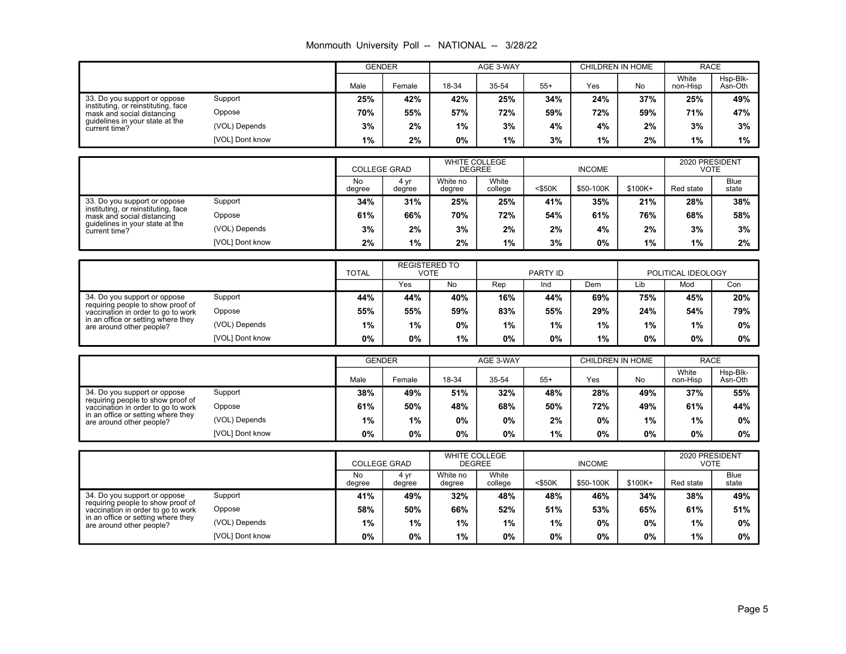|  |  |  | Monmouth University Poll -- NATIONAL -- 3/28/22 |  |
|--|--|--|-------------------------------------------------|--|
|--|--|--|-------------------------------------------------|--|

|                                                                          |                 | <b>GENDER</b>       |                                     |                    | AGE 3-WAY                             | <b>CHILDREN IN HOME</b> |                         |         | <b>RACE</b>                   |                      |
|--------------------------------------------------------------------------|-----------------|---------------------|-------------------------------------|--------------------|---------------------------------------|-------------------------|-------------------------|---------|-------------------------------|----------------------|
|                                                                          |                 | Male                | Female                              | 18-34              | 35-54                                 | $55+$                   | Yes                     | No      | White<br>non-Hisp             | Hsp-Blk-<br>Asn-Oth  |
| 33. Do you support or oppose<br>instituting, or reinstituting, face      | Support         | 25%                 | 42%                                 | 42%                | 25%                                   | 34%                     | 24%                     | 37%     | 25%                           | 49%                  |
| mask and social distancing                                               | Oppose          | 70%                 | 55%                                 | 57%                | 72%                                   | 59%                     | 72%                     | 59%     | 71%                           | 47%                  |
| guidelines in your state at the<br>current time?                         | (VOL) Depends   | 3%                  | 2%                                  | 1%                 | 3%                                    | 4%                      | 4%                      | 2%      | 3%                            | 3%                   |
|                                                                          | [VOL] Dont know | 1%                  | 2%                                  | 0%                 | 1%                                    | 3%                      | 1%                      | 2%      | 1%                            | 1%                   |
|                                                                          |                 |                     |                                     |                    |                                       |                         |                         |         |                               |                      |
|                                                                          |                 | <b>COLLEGE GRAD</b> |                                     |                    | <b>WHITE COLLEGE</b><br><b>DEGREE</b> |                         | <b>INCOME</b>           |         | 2020 PRESIDENT<br><b>VOTE</b> |                      |
|                                                                          |                 | No<br>degree        | 4 yr<br>degree                      | White no<br>degree | White<br>college                      | <\$50K                  | \$50-100K               | \$100K+ | Red state                     | <b>Blue</b><br>state |
| 33. Do you support or oppose                                             | Support         | 34%                 | 31%                                 | 25%                | 25%                                   | 41%                     | 35%                     | 21%     | 28%                           | 38%                  |
| instituting, or reinstituting, face<br>mask and social distancing        | Oppose          | 61%                 | 66%                                 | 70%                | 72%                                   | 54%                     | 61%                     | 76%     | 68%                           | 58%                  |
| guidelines in your state at the<br>current time?                         | (VOL) Depends   | 3%                  | 2%                                  | 3%                 | 2%                                    | 2%                      | 4%                      | 2%      | 3%                            | 3%                   |
|                                                                          | [VOL] Dont know | 2%                  | 1%                                  | 2%                 | 1%                                    | 3%                      | 0%                      | 1%      | 1%                            | 2%                   |
|                                                                          |                 |                     |                                     |                    |                                       |                         |                         |         |                               |                      |
|                                                                          |                 | <b>TOTAL</b>        | <b>REGISTERED TO</b><br><b>VOTE</b> |                    |                                       | PARTY ID                |                         |         | POLITICAL IDEOLOGY            |                      |
|                                                                          |                 |                     | Yes                                 | <b>No</b>          | Rep                                   | Ind                     | Dem                     | Lib     | Mod                           | Con                  |
| 34. Do you support or oppose<br>requiring people to show proof of        | Support         | 44%                 | 44%                                 | 40%                | 16%                                   | 44%                     | 69%                     | 75%     | 45%                           | 20%                  |
| vaccination in order to go to work<br>in an office or setting where they | Oppose          | 55%                 | 55%                                 | 59%                | 83%                                   | 55%                     | 29%                     | 24%     | 54%                           | 79%                  |
| are around other people?                                                 | (VOL) Depends   | 1%                  | 1%                                  | 0%                 | 1%                                    | 1%                      | 1%                      | 1%      | 1%                            | 0%                   |
|                                                                          | [VOL] Dont know | 0%                  | 0%                                  | 1%                 | 0%                                    | 0%                      | 1%                      | 0%      | 0%                            | $0\%$                |
|                                                                          |                 | <b>GENDER</b>       |                                     |                    | AGE 3-WAY                             |                         | <b>CHILDREN IN HOME</b> |         | <b>RACE</b>                   |                      |
|                                                                          |                 |                     |                                     |                    |                                       |                         |                         |         | White                         | Hsp-Blk-             |
|                                                                          |                 | Male                | Female                              | 18-34              | 35-54                                 | $55+$                   | Yes                     | No      | non-Hisp                      | Asn-Oth              |
| 34. Do you support or oppose<br>requiring people to show proof of        | Support         | 38%                 | 49%                                 | 51%                | 32%                                   | 48%                     | 28%                     | 49%     | 37%                           | 55%                  |
| vaccination in order to go to work                                       | Oppose          | 61%                 | 50%                                 | 48%                | 68%                                   | 50%                     | 72%                     | 49%     | 61%                           | 44%                  |
| in an office or setting where they<br>are around other people?           | (VOL) Depends   | 1%                  | 1%                                  | 0%                 | 0%                                    | 2%                      | 0%                      | 1%      | 1%                            | 0%                   |
|                                                                          | [VOL] Dont know | 0%                  | 0%                                  | 0%                 | 0%                                    | 1%                      | 0%                      | 0%      | 0%                            | $0\%$                |
|                                                                          |                 |                     |                                     |                    |                                       |                         |                         |         |                               |                      |
|                                                                          |                 | <b>COLLEGE GRAD</b> |                                     |                    | <b>WHITE COLLEGE</b><br><b>DEGREE</b> |                         | <b>INCOME</b>           |         | 2020 PRESIDENT<br><b>VOTE</b> |                      |
|                                                                          |                 | No<br>degree        | 4 yr<br>degree                      | White no<br>degree | White<br>college                      | <\$50K                  | \$50-100K               | \$100K+ | Red state                     | <b>Blue</b><br>state |
| 34. Do you support or oppose<br>requiring people to show proof of        | Support         | 41%                 | 49%                                 | 32%                | 48%                                   | 48%                     | 46%                     | 34%     | 38%                           | 49%                  |
| vaccination in order to go to work                                       | Oppose          | 58%                 | 50%                                 | 66%                | 52%                                   | 51%                     | 53%                     | 65%     | 61%                           | 51%                  |
| in an office or setting where they<br>are around other people?           | (VOL) Depends   | 1%                  | 1%                                  | 1%                 | 1%                                    | 1%                      | 0%                      | 0%      | 1%                            | 0%                   |
|                                                                          | [VOL] Dont know | 0%                  | 0%                                  | 1%                 | 0%                                    | 0%                      | 0%                      | 0%      | 1%                            | 0%                   |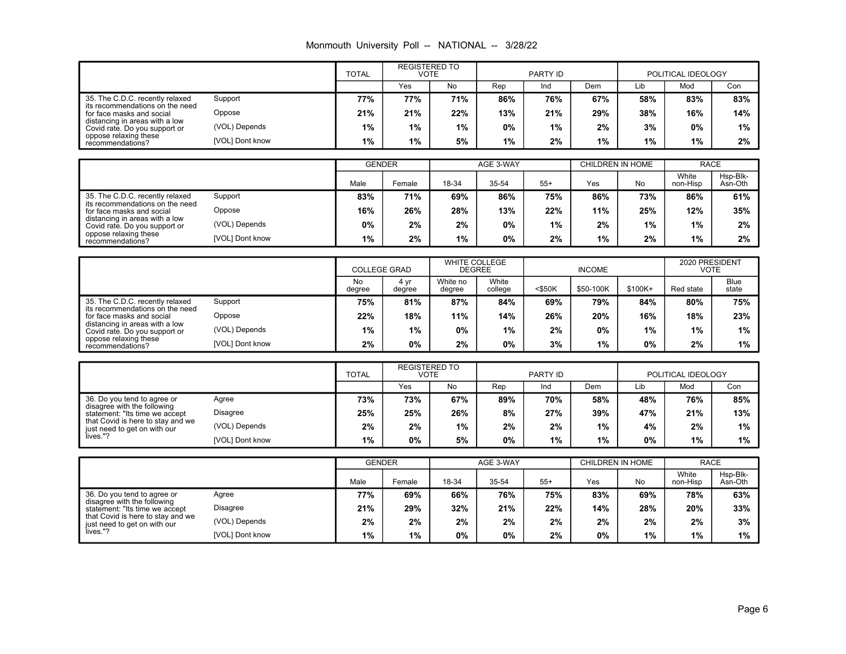# Monmouth University Poll -- NATIONAL -- 3/28/22

|                                                                 |                 | <b>TOTAL</b> | <b>REGISTERED TO</b><br><b>VOTE</b> |       |     | PARTY ID |     |     | POLITICAL IDEOLOGY |     |
|-----------------------------------------------------------------|-----------------|--------------|-------------------------------------|-------|-----|----------|-----|-----|--------------------|-----|
|                                                                 |                 |              | Yes                                 | No.   | Rep | Ind      | Dem | Lib | Mod                | Con |
| 35. The C.D.C. recently relaxed                                 | Support         | 77%          | 77%                                 | 71%   | 86% | 76%      | 67% | 58% | 83%                | 83% |
| its recommendations on the need<br>for face masks and social    | Oppose          | 21%          | 21%                                 | 22%   | 13% | 21%      | 29% | 38% | 16%                | 14% |
| distancing in areas with a low<br>Covid rate. Do you support or | (VOL) Depends   | $1\%$        | $1\%$                               | $1\%$ | 0%  | $1\%$    | 2%  | 3%  | 0%                 | 1%  |
| oppose relaxing these<br>recommendations?                       | [VOL] Dont know | 1%           | $1\%$                               | 5%    | 1%  | 2%       | 1%  | 1%  | 1%                 | 2%  |

|                                                                 |                 |       | <b>GENDER</b> |       | AGE 3-WAY |       |     | CHILDREN IN HOME | <b>RACE</b>       |                     |
|-----------------------------------------------------------------|-----------------|-------|---------------|-------|-----------|-------|-----|------------------|-------------------|---------------------|
|                                                                 |                 | Male  | Female        | 18-34 | 35-54     | $55+$ | Yes | No               | White<br>non-Hisp | Hsp-Blk-<br>Asn-Oth |
| 35. The C.D.C. recently relaxed                                 | Support         | 83%   | 71%           | 69%   | 86%       | 75%   | 86% | 73%              | 86%               | 61%                 |
| its recommendations on the need<br>for face masks and social    | Oppose          | 16%   | 26%           | 28%   | 13%       | 22%   | 11% | 25%              | 12%               | 35%                 |
| distancing in areas with a low<br>Covid rate. Do you support or | (VOL) Depends   | 0%    | 2%            | 2%    | 0%        | 1%    | 2%  | 1%               | 1%                | 2%                  |
| oppose relaxing these<br>recommendations?                       | [VOL] Dont know | $1\%$ | 2%            | 1%    | 0%        | 2%    | 1%  | 2%               | 1%                | 2%                  |

|                                                                 |                 |              | <b>COLLEGE GRAD</b> |                    | <b>WHITE COLLEGE</b><br><b>DEGREE</b> |           | <b>INCOME</b> | 2020 PRESIDENT<br>VOTE |           |                      |
|-----------------------------------------------------------------|-----------------|--------------|---------------------|--------------------|---------------------------------------|-----------|---------------|------------------------|-----------|----------------------|
|                                                                 |                 | No<br>dearee | 4 vr<br>degree      | White no<br>degree | White<br>college                      | $<$ \$50K | \$50-100K     | \$100K+                | Red state | <b>Blue</b><br>state |
| 35. The C.D.C. recently relaxed                                 | Support         | 75%          | 81%                 | 87%                | 84%                                   | 69%       | 79%           | 84%                    | 80%       | 75%                  |
| its recommendations on the need<br>for face masks and social    | Oppose          | 22%          | 18%                 | 11%                | 14%                                   | 26%       | 20%           | 16%                    | 18%       | 23%                  |
| distancing in areas with a low<br>Covid rate. Do you support or | (VOL) Depends   | 1%           | $1\%$               | 0%                 | $1\%$                                 | 2%        | 0%            | 1%                     | 1%        | 1%                   |
| oppose relaxing these<br>recommendations?                       | [VOL] Dont know | 2%           | 0%                  | 2%                 | $0\%$                                 | 3%        | 1%            | 0%                     | 2%        | 1%                   |

|                                                                   |                 | <b>TOTAL</b> | <b>REGISTERED TO</b><br>VOTE |     | PARTY ID |     |       | POLITICAL IDEOLOGY |     |     |
|-------------------------------------------------------------------|-----------------|--------------|------------------------------|-----|----------|-----|-------|--------------------|-----|-----|
|                                                                   |                 |              | Yes                          | No  | Rep      | Ind | Dem   | Lib                | Mod | Con |
| 36. Do you tend to agree or<br>disagree with the following        | Agree           | 73%          | 73%                          | 67% | 89%      | 70% | 58%   | 48%                | 76% | 85% |
| statement: "Its time we accept                                    | <b>Disagree</b> | 25%          | 25%                          | 26% | 8%       | 27% | 39%   | 47%                | 21% | 13% |
| that Covid is here to stay and we<br>just need to get on with our | (VOL) Depends   | 2%           | 2%                           | 1%  | 2%       | 2%  | 1%    | 4%                 | 2%  | 1%  |
| lives."?                                                          | [VOL] Dont know | 1%           | 0%                           | 5%  | 0%       | 1%  | $1\%$ | 0%                 | 1%  | 1%  |

|                                                                   |                 |      | <b>GENDER</b> |       | AGE 3-WAY |       |     | CHILDREN IN HOME | <b>RACE</b>       |                     |
|-------------------------------------------------------------------|-----------------|------|---------------|-------|-----------|-------|-----|------------------|-------------------|---------------------|
|                                                                   |                 | Male | Female        | 18-34 | 35-54     | $55+$ | Yes | No               | White<br>non-Hisp | Hsp-Blk-<br>Asn-Oth |
| 36. Do you tend to agree or                                       | Agree           | 77%  | 69%           | 66%   | 76%       | 75%   | 83% | 69%              | 78%               | 63%                 |
| disagree with the following<br>statement: "Its time we accept     | Disagree        | 21%  | 29%           | 32%   | 21%       | 22%   | 14% | 28%              | 20%               | 33%                 |
| that Covid is here to stay and we<br>just need to get on with our | (VOL) Depends   | 2%   | 2%            | 2%    | 2%        | 2%    | 2%  | 2%               | 2%                | 3%                  |
| lives."?                                                          | [VOL] Dont know | 1%   | 1%            | 0%    | 0%        | 2%    | 0%  | $1\%$            | 1%                | $1\%$               |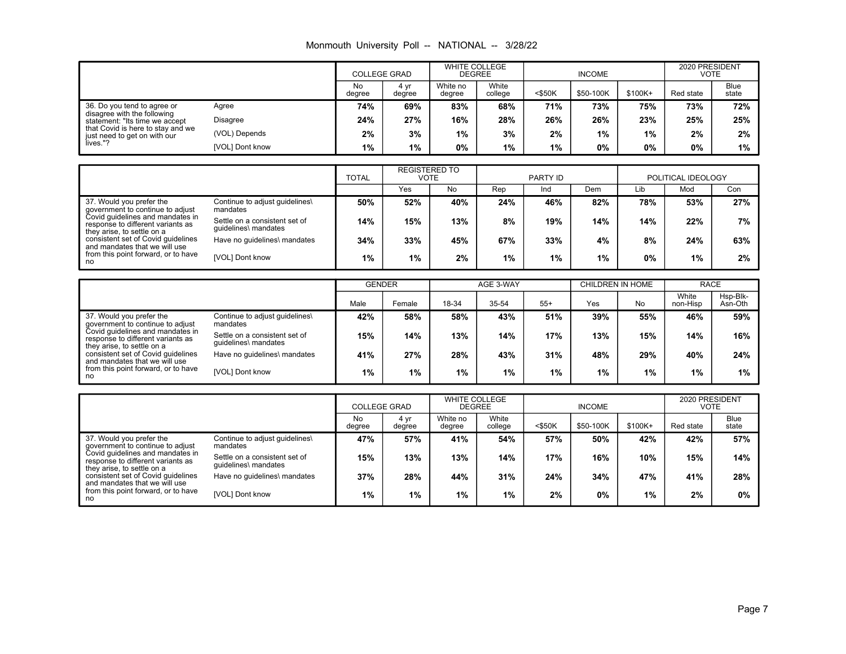| Monmouth University Poll -- |  |  | NATIONAL -- |  | 3/28/22 |
|-----------------------------|--|--|-------------|--|---------|
|-----------------------------|--|--|-------------|--|---------|

|                                                                   |                 |              | <b>COLLEGE GRAD</b> |                    | <b>WHITE COLLEGE</b><br><b>DEGREE</b> | <b>INCOME</b> |           |         | 2020 PRESIDENT<br>VOTE |                      |
|-------------------------------------------------------------------|-----------------|--------------|---------------------|--------------------|---------------------------------------|---------------|-----------|---------|------------------------|----------------------|
|                                                                   |                 | No<br>degree | 4 vr<br>degree      | White no<br>degree | White<br>college                      | $<$ \$50K     | \$50-100K | \$100K+ | Red state              | <b>Blue</b><br>state |
| 36. Do you tend to agree or<br>Agree                              |                 | 74%          | 69%                 | 83%                | 68%                                   | 71%           | 73%       | 75%     | 73%                    | 72%                  |
| disagree with the following<br>statement: "Its time we accept     | <b>Disagree</b> | 24%          | 27%                 | 16%                | 28%                                   | 26%           | 26%       | 23%     | 25%                    | 25%                  |
| that Covid is here to stay and we<br>just need to get on with our | (VOL) Depends   | 2%           | 3%                  | 1%                 | 3%                                    | 2%            | 1%        | $1\%$   | 2%                     | 2%                   |
| lives."?                                                          | [VOL] Dont know | 1%           | 1%                  | 0%                 | 1%                                    | 1%            | 0%        | 0%      | 0%                     | 1%                   |

|                                                                                                     |                                                       | <b>REGISTERED TO</b><br><b>TOTAL</b><br>VOTE |     |     | PARTY ID |     |     | POLITICAL IDEOLOGY |     |     |
|-----------------------------------------------------------------------------------------------------|-------------------------------------------------------|----------------------------------------------|-----|-----|----------|-----|-----|--------------------|-----|-----|
|                                                                                                     |                                                       |                                              | Yes | No  | Rep      | Ind | Dem | Lib                | Mod | Con |
| 37. Would you prefer the<br>government to continue to adjust                                        | Continue to adjust guidelines\<br>mandates            | 50%                                          | 52% | 40% | 24%      | 46% | 82% | 78%                | 53% | 27% |
| Covid quidelines and mandates in<br>response to different variants as<br>they arise, to settle on a | Settle on a consistent set of<br>quidelines\ mandates | 14%                                          | 15% | 13% | 8%       | 19% | 14% | 14%                | 22% | 7%  |
| consistent set of Covid guidelines<br>and mandates that we will use                                 | Have no quidelines\ mandates                          | 34%                                          | 33% | 45% | 67%      | 33% | 4%  | 8%                 | 24% | 63% |
| from this point forward, or to have<br>no                                                           | [VOL] Dont know                                       | $1\%$                                        | 1%  | 2%  | 1%       | 1%  | 1%  | $0\%$              | 1%  | 2%  |

|                                                                                                   |                                                       | <b>GENDER</b> |        |       | AGE 3-WAY |       | CHILDREN IN HOME |     | <b>RACE</b>       |                     |
|---------------------------------------------------------------------------------------------------|-------------------------------------------------------|---------------|--------|-------|-----------|-------|------------------|-----|-------------------|---------------------|
|                                                                                                   |                                                       | Male          | Female | 18-34 | 35-54     | $55+$ | Yes              | No  | White<br>non-Hisp | Hsp-Blk-<br>Asn-Oth |
| 37. Would you prefer the<br>government to continue to adjust                                      | Continue to adjust guidelines\<br>mandates            | 42%           | 58%    | 58%   | 43%       | 51%   | 39%              | 55% | 46%               | 59%                 |
| Covid guidelines and mandates in<br>response to different variants as                             | Settle on a consistent set of<br>quidelines\ mandates | 15%           | 14%    | 13%   | 14%       | 17%   | 13%              | 15% | 14%               | 16%                 |
| they arise, to settle on a<br>consistent set of Covid guidelines<br>and mandates that we will use | Have no guidelines\ mandates                          | 41%           | 27%    | 28%   | 43%       | 31%   | 48%              | 29% | 40%               | 24%                 |
| from this point forward, or to have<br>no                                                         | [VOL] Dont know                                       | 1%            | $1\%$  | 1%    | $1\%$     | $1\%$ | $1\%$            | 1%  | $1\%$             | 1%                  |

|                                                                                                     |                                                       | <b>COLLEGE GRAD</b> |                | <b>WHITE COLLEGE</b><br><b>DEGREE</b> |                  | <b>INCOME</b> |           |         | 2020 PRESIDENT<br>VOTE |                      |
|-----------------------------------------------------------------------------------------------------|-------------------------------------------------------|---------------------|----------------|---------------------------------------|------------------|---------------|-----------|---------|------------------------|----------------------|
|                                                                                                     |                                                       | No<br>degree        | 4 yr<br>degree | White no<br>degree                    | White<br>college | $<$ \$50K     | \$50-100K | \$100K+ | Red state              | <b>Blue</b><br>state |
| 37. Would you prefer the<br>government to continue to adjust                                        | Continue to adjust guidelines\<br>mandates            | 47%                 | 57%            | 41%                                   | 54%              | 57%           | 50%       | 42%     | 42%                    | 57%                  |
| Covid quidelines and mandates in<br>response to different variants as<br>they arise, to settle on a | Settle on a consistent set of<br>quidelines\ mandates | 15%                 | 13%            | 13%                                   | 14%              | 17%           | 16%       | $10\%$  | 15%                    | 14%                  |
| consistent set of Covid quidelines<br>and mandates that we will use                                 | Have no quidelines\ mandates                          | 37%                 | 28%            | 44%                                   | 31%              | 24%           | 34%       | 47%     | 41%                    | 28%                  |
| from this point forward, or to have<br>no                                                           | [VOL] Dont know                                       | 1%                  | $1\%$          | 1%                                    | 1%               | 2%            | $0\%$     | 1%      | 2%                     | 0%                   |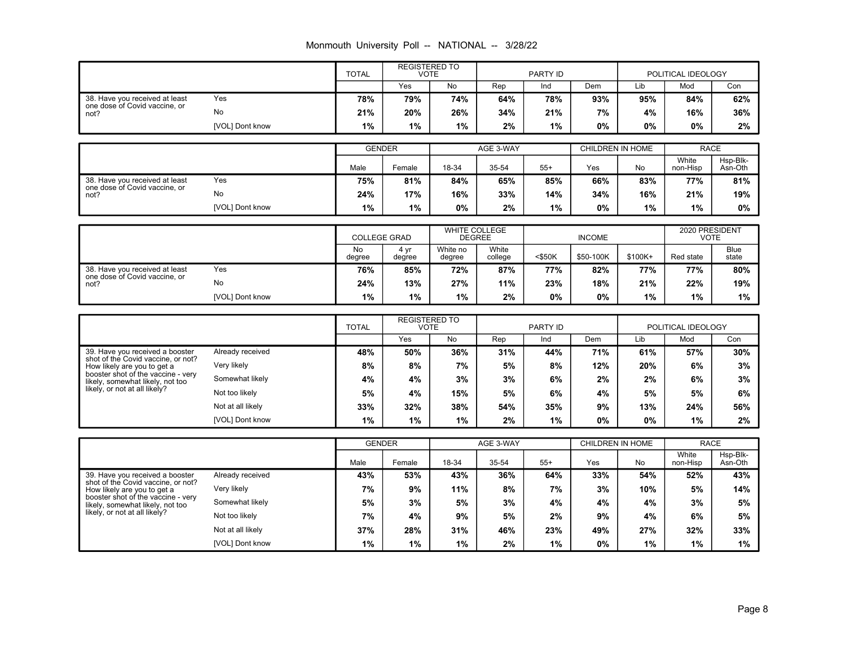|  |  |  | Monmouth University Poll -- NATIONAL -- 3/28/22 |  |
|--|--|--|-------------------------------------------------|--|
|--|--|--|-------------------------------------------------|--|

|                                                                                                                                                                                                                 |                   | <b>TOTAL</b>                | <b>REGISTERED TO</b><br><b>VOTE</b> |                    | PARTY ID         |          |                         |                |                      | POLITICAL IDEOLOGY   |  |
|-----------------------------------------------------------------------------------------------------------------------------------------------------------------------------------------------------------------|-------------------|-----------------------------|-------------------------------------|--------------------|------------------|----------|-------------------------|----------------|----------------------|----------------------|--|
|                                                                                                                                                                                                                 |                   |                             | Yes                                 | No                 | Rep              | Ind      | Dem                     | Lib            | Mod                  | Con                  |  |
| 38. Have you received at least<br>one dose of Covid vaccine, or<br>not?                                                                                                                                         | Yes               | 78%                         | 79%                                 | 74%                | 64%              | 78%      | 93%                     | 95%            | 84%                  | 62%                  |  |
|                                                                                                                                                                                                                 | No                | 21%                         | 20%                                 | 26%                | 34%              | 21%      | 7%                      | 4%             | 16%                  | 36%                  |  |
|                                                                                                                                                                                                                 | [VOL] Dont know   | 1%                          | 1%                                  | 1%                 | 2%               | 1%       | 0%                      | 0%             | 0%                   | 2%                   |  |
|                                                                                                                                                                                                                 |                   |                             |                                     |                    |                  |          |                         |                |                      |                      |  |
|                                                                                                                                                                                                                 |                   | <b>GENDER</b>               |                                     | AGE 3-WAY          |                  |          | <b>CHILDREN IN HOME</b> |                | <b>RACE</b><br>White |                      |  |
|                                                                                                                                                                                                                 |                   | Male                        | Female                              | 18-34              | 35-54            | $55+$    | Yes                     | No             | non-Hisp             | Hsp-Blk-<br>Asn-Oth  |  |
| 38. Have you received at least<br>one dose of Covid vaccine, or<br>not?                                                                                                                                         | Yes               | 75%                         | 81%                                 | 84%                | 65%              | 85%      | 66%                     | 83%            | 77%                  | 81%                  |  |
|                                                                                                                                                                                                                 | No                | 24%                         | 17%                                 | 16%                | 33%              | 14%      | 34%                     | 16%            | 21%                  | 19%                  |  |
|                                                                                                                                                                                                                 | [VOL] Dont know   | 1%                          | 1%                                  | 0%                 | 2%               | 1%       | 0%                      | 1%             | 1%                   | 0%                   |  |
|                                                                                                                                                                                                                 |                   | <b>COLLEGE GRAD</b>         |                                     | WHITE COLLEGE      |                  |          |                         | 2020 PRESIDENT |                      |                      |  |
|                                                                                                                                                                                                                 |                   |                             |                                     | <b>DEGREE</b>      |                  |          | <b>INCOME</b>           |                |                      | <b>VOTE</b>          |  |
|                                                                                                                                                                                                                 |                   | <b>No</b><br>degree         | 4 yr<br>degree                      | White no<br>degree | White<br>college | <\$50K   | \$50-100K               | \$100K+        | Red state            | <b>Blue</b><br>state |  |
| 38. Have you received at least<br>one dose of Covid vaccine, or<br>not?                                                                                                                                         | Yes               | 76%                         | 85%                                 | 72%                | 87%              | 77%      | 82%                     | 77%            | 77%                  | 80%                  |  |
|                                                                                                                                                                                                                 | No                | 24%                         | 13%                                 | 27%                | 11%              | 23%      | 18%                     | 21%            | 22%                  | 19%                  |  |
|                                                                                                                                                                                                                 | [VOL] Dont know   | 1%                          | 1%                                  | 1%                 | 2%               | 0%       | 0%                      | 1%             | 1%                   | 1%                   |  |
|                                                                                                                                                                                                                 |                   |                             | <b>REGISTERED TO</b>                |                    |                  |          |                         |                |                      |                      |  |
|                                                                                                                                                                                                                 |                   | <b>TOTAL</b><br><b>VOTE</b> |                                     |                    |                  | PARTY ID |                         |                | POLITICAL IDEOLOGY   |                      |  |
|                                                                                                                                                                                                                 |                   |                             | Yes                                 | <b>No</b>          | Rep              | Ind      | Dem                     | Lib            | Mod                  | Con                  |  |
| 39. Have vou received a booster<br>shot of the Covid vaccine, or not?<br>How likely are you to get a<br>booster shot of the vaccine - very<br>likely, somewhat likely, not too<br>likely, or not at all likely? | Already received  | 48%                         | 50%                                 | 36%                | 31%              | 44%      | 71%                     | 61%            | 57%                  | 30%                  |  |
|                                                                                                                                                                                                                 | Very likely       | 8%                          | 8%                                  | 7%                 | 5%               | 8%       | 12%                     | 20%            | 6%                   | 3%                   |  |
|                                                                                                                                                                                                                 | Somewhat likely   | 4%                          | 4%                                  | 3%                 | 3%               | 6%       | 2%                      | 2%             | 6%                   | 3%                   |  |
|                                                                                                                                                                                                                 | Not too likely    | 5%                          | 4%                                  | 15%                | 5%               | 6%       | 4%                      | 5%             | 5%                   | 6%                   |  |
|                                                                                                                                                                                                                 | Not at all likely | 33%                         | 32%                                 | 38%                | 54%              | 35%      | 9%                      | 13%            | 24%                  | 56%                  |  |
|                                                                                                                                                                                                                 | [VOL] Dont know   | 1%                          | 1%                                  | 1%                 | 2%               | 1%       | 0%                      | 0%             | 1%                   | 2%                   |  |
|                                                                                                                                                                                                                 |                   | <b>GENDER</b>               |                                     | AGE 3-WAY          |                  |          |                         |                |                      | <b>RACE</b>          |  |
|                                                                                                                                                                                                                 |                   |                             |                                     |                    |                  |          | <b>CHILDREN IN HOME</b> |                | White<br>Hsp-Blk-    |                      |  |
|                                                                                                                                                                                                                 |                   | Male                        | Female                              | 18-34              | 35-54            | $55+$    | Yes                     | No             | non-Hisp             | Asn-Oth              |  |
| 39. Have you received a booster<br>shot of the Covid vaccine, or not?<br>How likely are you to get a<br>booster shot of the vaccine - verv<br>likely, somewhat likely, not too<br>likely, or not at all likely? | Already received  | 43%                         | 53%                                 | 43%                | 36%              | 64%      | 33%                     | 54%            | 52%                  | 43%                  |  |
|                                                                                                                                                                                                                 | Very likely       | 7%                          | 9%                                  | 11%                | 8%               | 7%       | 3%                      | 10%            | 5%                   | 14%                  |  |
|                                                                                                                                                                                                                 | Somewhat likely   | 5%                          | 3%                                  | 5%                 | 3%               | 4%       | 4%                      | 4%             | 3%                   | 5%                   |  |
|                                                                                                                                                                                                                 |                   |                             |                                     |                    | 5%               | 2%       | 9%                      | 4%             | 6%                   | 5%                   |  |
|                                                                                                                                                                                                                 | Not too likely    | 7%                          | 4%                                  | 9%                 |                  |          |                         |                |                      |                      |  |
|                                                                                                                                                                                                                 | Not at all likely | 37%                         | 28%                                 | 31%                | 46%              | 23%      | 49%                     | 27%            | 32%                  | 33%                  |  |